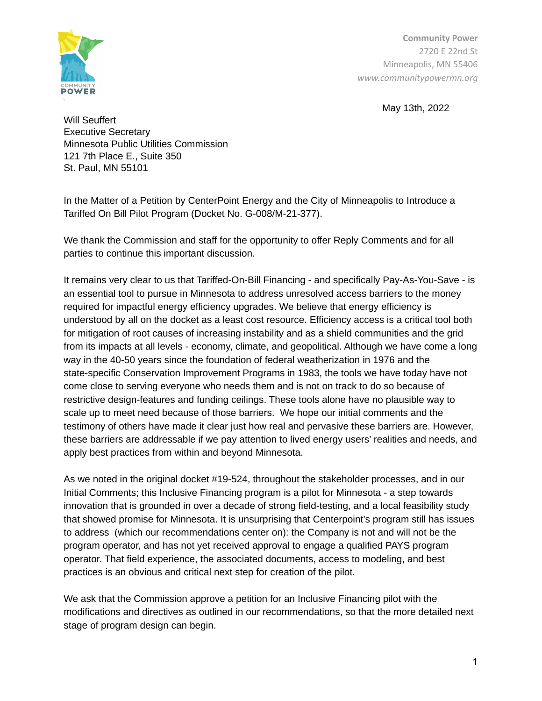

**Community Power** 2720 E 22nd St Minneapolis, MN 55406 *www.communitypowermn.org*

May 13th, 2022

Will Seuffert Executive Secretary Minnesota Public Utilities Commission 121 7th Place E., Suite 350 St. Paul, MN 55101

In the Matter of a Petition by CenterPoint Energy and the City of Minneapolis to Introduce a Tariffed On Bill Pilot Program (Docket No. G-008/M-21-377).

We thank the Commission and staff for the opportunity to offer Reply Comments and for all parties to continue this important discussion.

It remains very clear to us that Tariffed-On-Bill Financing - and specifically Pay-As-You-Save - is an essential tool to pursue in Minnesota to address unresolved access barriers to the money required for impactful energy efficiency upgrades. We believe that energy efficiency is understood by all on the docket as a least cost resource. Efficiency access is a critical tool both for mitigation of root causes of increasing instability and as a shield communities and the grid from its impacts at all levels - economy, climate, and geopolitical. Although we have come a long way in the 40-50 years since the foundation of federal weatherization in 1976 and the state-specific Conservation Improvement Programs in 1983, the tools we have today have not come close to serving everyone who needs them and is not on track to do so because of restrictive design-features and funding ceilings. These tools alone have no plausible way to scale up to meet need because of those barriers. We hope our initial comments and the testimony of others have made it clear just how real and pervasive these barriers are. However, these barriers are addressable if we pay attention to lived energy users' realities and needs, and apply best practices from within and beyond Minnesota.

As we noted in the original docket #19-524, throughout the stakeholder processes, and in our Initial Comments; this Inclusive Financing program is a pilot for Minnesota - a step towards innovation that is grounded in over a decade of strong field-testing, and a local feasibility study that showed promise for Minnesota. It is unsurprising that Centerpoint's program still has issues to address (which our recommendations center on): the Company is not and will not be the program operator, and has not yet received approval to engage a qualified PAYS program operator. That field experience, the associated documents, access to modeling, and best practices is an obvious and critical next step for creation of the pilot.

We ask that the Commission approve a petition for an Inclusive Financing pilot with the modifications and directives as outlined in our recommendations, so that the more detailed next stage of program design can begin.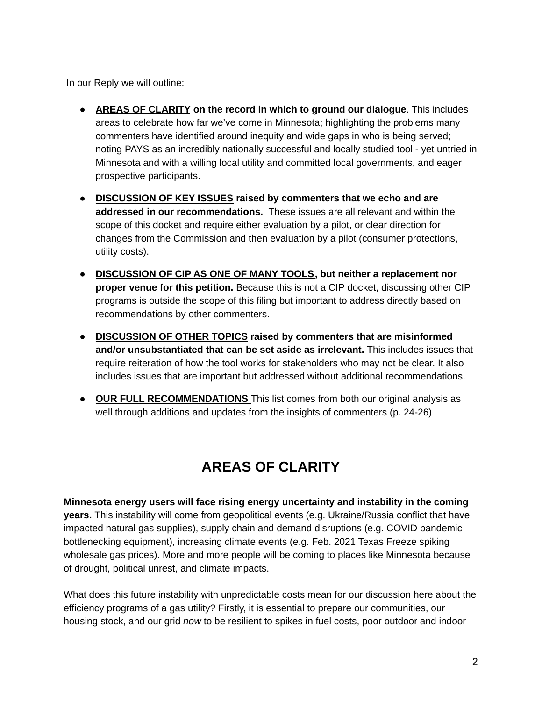In our Reply we will outline:

- **AREAS OF [CLARITY](#page-1-0) on the record in which to ground our dialogue**. This includes areas to celebrate how far we've come in Minnesota; highlighting the problems many commenters have identified around inequity and wide gaps in who is being served; noting PAYS as an incredibly nationally successful and locally studied tool - yet untried in Minnesota and with a willing local utility and committed local governments, and eager prospective participants.
- **● [DISCUSSION](#page-3-0) OF KEY ISSUES raised by commenters that we echo and are addressed in our recommendations.** These issues are all relevant and within the scope of this docket and require either evaluation by a pilot, or clear direction for changes from the Commission and then evaluation by a pilot (consumer protections, utility costs).
- **● [DISCUSSION](#page-13-0) OF CIP AS ONE OF MANY TOOLS, but neither a replacement nor proper venue for this petition.** Because this is not a CIP docket, discussing other CIP programs is outside the scope of this filing but important to address directly based on recommendations by other commenters.
- **● [DISCUSSION](#page-17-0) OF OTHER TOPICS raised by commenters that are misinformed and/or unsubstantiated that can be set aside as irrelevant.** This includes issues that require reiteration of how the tool works for stakeholders who may not be clear. It also includes issues that are important but addressed without additional recommendations.
- <span id="page-1-0"></span>**● OUR FULL RECOMMENDATIONS** This list comes from both our original analysis as well through additions and updates from the insights of commenters (p. 24-26)

# **AREAS OF CLARITY**

**Minnesota energy users will face rising energy uncertainty and instability in the coming years.** This instability will come from geopolitical events (e.g. Ukraine/Russia conflict that have impacted natural gas supplies), supply chain and demand disruptions (e.g. COVID pandemic bottlenecking equipment), increasing climate events (e.g. Feb. 2021 Texas Freeze spiking wholesale gas prices). More and more people will be coming to places like Minnesota because of drought, political unrest, and climate impacts.

What does this future instability with unpredictable costs mean for our discussion here about the efficiency programs of a gas utility? Firstly, it is essential to prepare our communities, our housing stock, and our grid *now* to be resilient to spikes in fuel costs, poor outdoor and indoor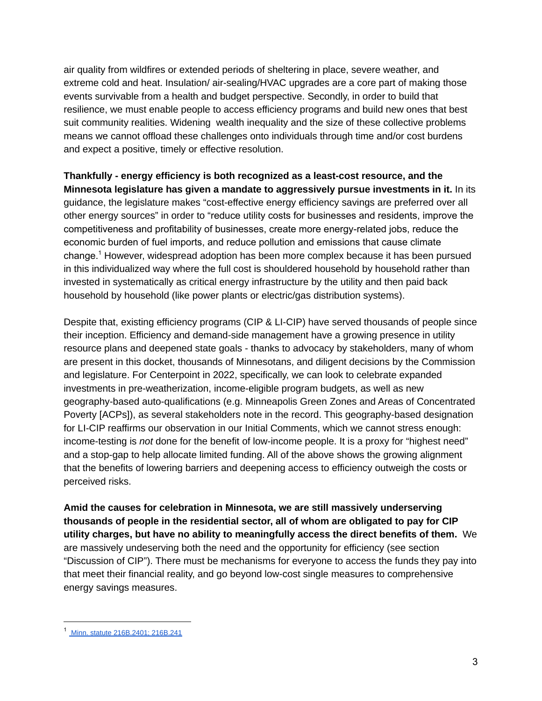air quality from wildfires or extended periods of sheltering in place, severe weather, and extreme cold and heat. Insulation/ air-sealing/HVAC upgrades are a core part of making those events survivable from a health and budget perspective. Secondly, in order to build that resilience, we must enable people to access efficiency programs and build new ones that best suit community realities. Widening wealth inequality and the size of these collective problems means we cannot offload these challenges onto individuals through time and/or cost burdens and expect a positive, timely or effective resolution.

**Thankfully - energy efficiency is both recognized as a least-cost resource, and the Minnesota legislature has given a mandate to aggressively pursue investments in it.** In its guidance, the legislature makes "cost-effective energy efficiency savings are preferred over all other energy sources" in order to "reduce utility costs for businesses and residents, improve the competitiveness and profitability of businesses, create more energy-related jobs, reduce the economic burden of fuel imports, and reduce pollution and emissions that cause climate change.<sup>1</sup> However, widespread adoption has been more complex because it has been pursued in this individualized way where the full cost is shouldered household by household rather than invested in systematically as critical energy infrastructure by the utility and then paid back household by household (like power plants or electric/gas distribution systems).

Despite that, existing efficiency programs (CIP & LI-CIP) have served thousands of people since their inception. Efficiency and demand-side management have a growing presence in utility resource plans and deepened state goals - thanks to advocacy by stakeholders, many of whom are present in this docket, thousands of Minnesotans, and diligent decisions by the Commission and legislature. For Centerpoint in 2022, specifically, we can look to celebrate expanded investments in pre-weatherization, income-eligible program budgets, as well as new geography-based auto-qualifications (e.g. Minneapolis Green Zones and Areas of Concentrated Poverty [ACPs]), as several stakeholders note in the record. This geography-based designation for LI-CIP reaffirms our observation in our Initial Comments, which we cannot stress enough: income-testing is *not* done for the benefit of low-income people. It is a proxy for "highest need" and a stop-gap to help allocate limited funding. All of the above shows the growing alignment that the benefits of lowering barriers and deepening access to efficiency outweigh the costs or perceived risks.

**Amid the causes for celebration in Minnesota, we are still massively underserving thousands of people in the residential sector, all of whom are obligated to pay for CIP utility charges, but have no ability to meaningfully access the direct benefits of them.** We are massively undeserving both the need and the opportunity for efficiency (see section "Discussion of CIP"). There must be mechanisms for everyone to access the funds they pay into that meet their financial reality, and go beyond low-cost single measures to comprehensive energy savings measures.

<sup>1</sup> Minn. statute [216B.2401;](https://www.revisor.mn.gov/bills/text.php?number=HF164&type=ccr&session=ls92&version=0) 216B.241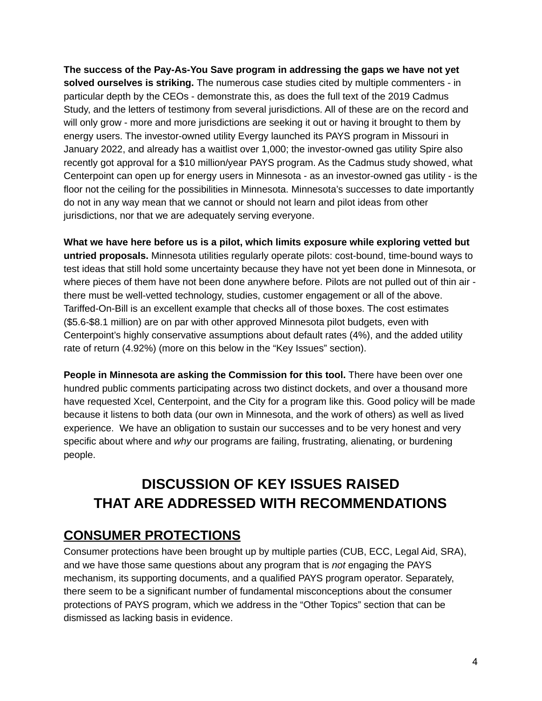**The success of the Pay-As-You Save program in addressing the gaps we have not yet solved ourselves is striking.** The numerous case studies cited by multiple commenters - in particular depth by the CEOs - demonstrate this, as does the full text of the 2019 Cadmus Study, and the letters of testimony from several jurisdictions. All of these are on the record and will only grow - more and more jurisdictions are seeking it out or having it brought to them by energy users. The investor-owned utility Evergy launched its PAYS program in Missouri in January 2022, and already has a waitlist over 1,000; the investor-owned gas utility Spire also recently got approval for a \$10 million/year PAYS program. As the Cadmus study showed, what Centerpoint can open up for energy users in Minnesota - as an investor-owned gas utility - is the floor not the ceiling for the possibilities in Minnesota. Minnesota's successes to date importantly do not in any way mean that we cannot or should not learn and pilot ideas from other jurisdictions, nor that we are adequately serving everyone.

**What we have here before us is a pilot, which limits exposure while exploring vetted but untried proposals.** Minnesota utilities regularly operate pilots: cost-bound, time-bound ways to test ideas that still hold some uncertainty because they have not yet been done in Minnesota, or where pieces of them have not been done anywhere before. Pilots are not pulled out of thin air there must be well-vetted technology, studies, customer engagement or all of the above. Tariffed-On-Bill is an excellent example that checks all of those boxes. The cost estimates (\$5.6-\$8.1 million) are on par with other approved Minnesota pilot budgets, even with Centerpoint's highly conservative assumptions about default rates (4%), and the added utility rate of return (4.92%) (more on this below in the "Key Issues" section).

**People in Minnesota are asking the Commission for this tool.** There have been over one hundred public comments participating across two distinct dockets, and over a thousand more have requested Xcel, Centerpoint, and the City for a program like this. Good policy will be made because it listens to both data (our own in Minnesota, and the work of others) as well as lived experience. We have an obligation to sustain our successes and to be very honest and very specific about where and *why* our programs are failing, frustrating, alienating, or burdening people.

# <span id="page-3-0"></span>**DISCUSSION OF KEY ISSUES RAISED THAT ARE ADDRESSED WITH RECOMMENDATIONS**

# **CONSUMER PROTECTIONS**

Consumer protections have been brought up by multiple parties (CUB, ECC, Legal Aid, SRA), and we have those same questions about any program that is *not* engaging the PAYS mechanism, its supporting documents, and a qualified PAYS program operator. Separately, there seem to be a significant number of fundamental misconceptions about the consumer protections of PAYS program, which we address in the "Other Topics" section that can be dismissed as lacking basis in evidence.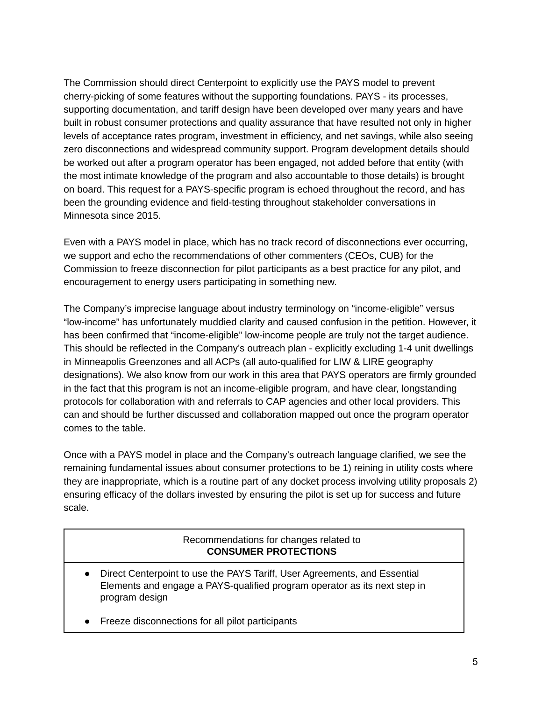The Commission should direct Centerpoint to explicitly use the PAYS model to prevent cherry-picking of some features without the supporting foundations. PAYS - its processes, supporting documentation, and tariff design have been developed over many years and have built in robust consumer protections and quality assurance that have resulted not only in higher levels of acceptance rates program, investment in efficiency, and net savings, while also seeing zero disconnections and widespread community support. Program development details should be worked out after a program operator has been engaged, not added before that entity (with the most intimate knowledge of the program and also accountable to those details) is brought on board. This request for a PAYS-specific program is echoed throughout the record, and has been the grounding evidence and field-testing throughout stakeholder conversations in Minnesota since 2015.

Even with a PAYS model in place, which has no track record of disconnections ever occurring, we support and echo the recommendations of other commenters (CEOs, CUB) for the Commission to freeze disconnection for pilot participants as a best practice for any pilot, and encouragement to energy users participating in something new.

The Company's imprecise language about industry terminology on "income-eligible" versus "low-income" has unfortunately muddied clarity and caused confusion in the petition. However, it has been confirmed that "income-eligible" low-income people are truly not the target audience. This should be reflected in the Company's outreach plan - explicitly excluding 1-4 unit dwellings in Minneapolis Greenzones and all ACPs (all auto-qualified for LIW & LIRE geography designations). We also know from our work in this area that PAYS operators are firmly grounded in the fact that this program is not an income-eligible program, and have clear, longstanding protocols for collaboration with and referrals to CAP agencies and other local providers. This can and should be further discussed and collaboration mapped out once the program operator comes to the table.

Once with a PAYS model in place and the Company's outreach language clarified, we see the remaining fundamental issues about consumer protections to be 1) reining in utility costs where they are inappropriate, which is a routine part of any docket process involving utility proposals 2) ensuring efficacy of the dollars invested by ensuring the pilot is set up for success and future scale.

### Recommendations for changes related to **CONSUMER PROTECTIONS**

- Direct Centerpoint to use the PAYS Tariff, User Agreements, and Essential Elements and engage a PAYS-qualified program operator as its next step in program design
- Freeze disconnections for all pilot participants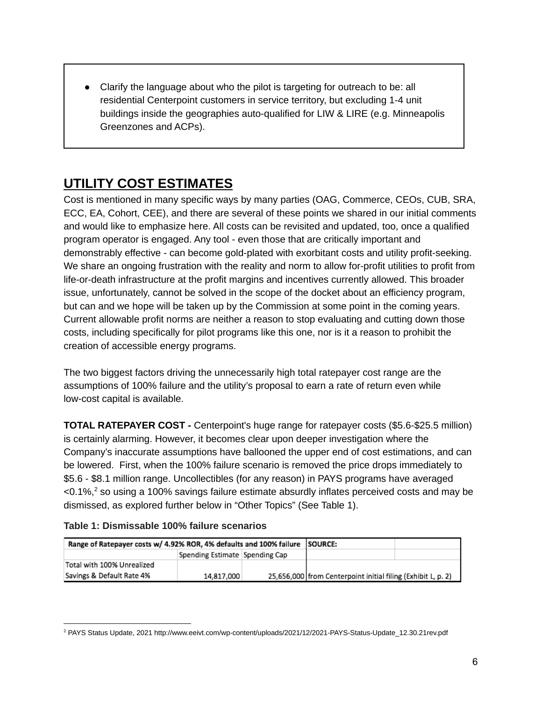Clarify the language about who the pilot is targeting for outreach to be: all residential Centerpoint customers in service territory, but excluding 1-4 unit buildings inside the geographies auto-qualified for LIW & LIRE (e.g. Minneapolis Greenzones and ACPs).

# **UTILITY COST ESTIMATES**

Cost is mentioned in many specific ways by many parties (OAG, Commerce, CEOs, CUB, SRA, ECC, EA, Cohort, CEE), and there are several of these points we shared in our initial comments and would like to emphasize here. All costs can be revisited and updated, too, once a qualified program operator is engaged. Any tool - even those that are critically important and demonstrably effective - can become gold-plated with exorbitant costs and utility profit-seeking. We share an ongoing frustration with the reality and norm to allow for-profit utilities to profit from life-or-death infrastructure at the profit margins and incentives currently allowed. This broader issue, unfortunately, cannot be solved in the scope of the docket about an efficiency program, but can and we hope will be taken up by the Commission at some point in the coming years. Current allowable profit norms are neither a reason to stop evaluating and cutting down those costs, including specifically for pilot programs like this one, nor is it a reason to prohibit the creation of accessible energy programs.

The two biggest factors driving the unnecessarily high total ratepayer cost range are the assumptions of 100% failure and the utility's proposal to earn a rate of return even while low-cost capital is available.

**TOTAL RATEPAYER COST -** Centerpoint's huge range for ratepayer costs (\$5.6-\$25.5 million) is certainly alarming. However, it becomes clear upon deeper investigation where the Company's inaccurate assumptions have ballooned the upper end of cost estimations, and can be lowered. First, when the 100% failure scenario is removed the price drops immediately to \$5.6 - \$8.1 million range. Uncollectibles (for any reason) in PAYS programs have averaged  $<$ 0.1%, $^2$  so using a 100% savings failure estimate absurdly inflates perceived costs and may be dismissed, as explored further below in "Other Topics" (See Table 1).

| Table 1: Dismissable 100% failure scenarios |  |  |
|---------------------------------------------|--|--|
|---------------------------------------------|--|--|

| Range of Ratepayer costs w/ 4.92% ROR, 4% defaults and 100% failure SOURCE: |                                |  |                                                              |  |
|-----------------------------------------------------------------------------|--------------------------------|--|--------------------------------------------------------------|--|
|                                                                             | Spending Estimate Spending Cap |  |                                                              |  |
| Total with 100% Unrealized                                                  |                                |  |                                                              |  |
| Savings & Default Rate 4%                                                   | 14,817,000                     |  | 25,656,000 from Centerpoint initial filing (Exhibit L, p. 2) |  |

<sup>2</sup> PAYS Status Update, 2021 http://www.eeivt.com/wp-content/uploads/2021/12/2021-PAYS-Status-Update\_12.30.21rev.pdf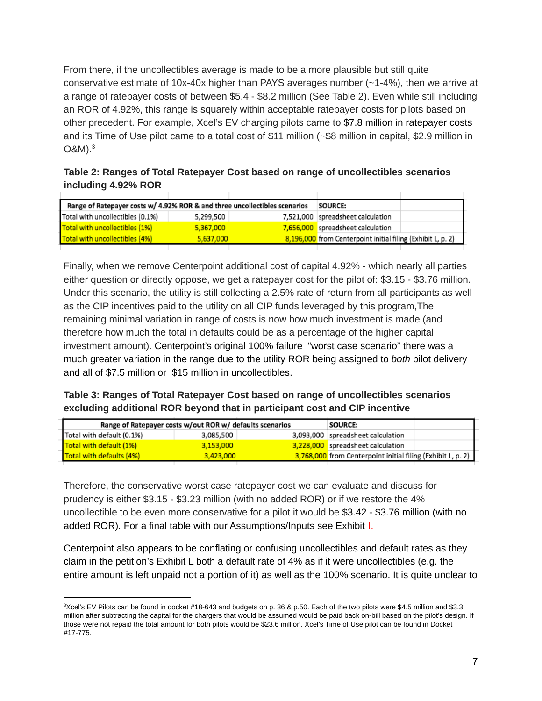From there, if the uncollectibles average is made to be a more plausible but still quite conservative estimate of 10x-40x higher than PAYS averages number (~1-4%), then we arrive at a range of ratepayer costs of between \$5.4 - \$8.2 million (See Table 2). Even while still including an ROR of 4.92%, this range is squarely within acceptable ratepayer costs for pilots based on other precedent. For example, Xcel's EV charging pilots came to \$7.8 million in ratepayer costs and its Time of Use pilot came to a total cost of \$11 million (~\$8 million in capital, \$2.9 million in O&M). 3

### **Table 2: Ranges of Total Ratepayer Cost based on range of uncollectibles scenarios including 4.92% ROR**

|                                  | Range of Ratepayer costs w/ 4.92% ROR & and three uncollectibles scenarios<br>SOURCE: |  |                                                             |  |  |
|----------------------------------|---------------------------------------------------------------------------------------|--|-------------------------------------------------------------|--|--|
| Total with uncollectibles (0.1%) | 5,299,500                                                                             |  | 7,521,000 spreadsheet calculation                           |  |  |
| Total with uncollectibles (1%)   | 5,367,000                                                                             |  | 7,656,000 spreadsheet calculation                           |  |  |
| Total with uncollectibles (4%)   | 5.637.000                                                                             |  | 8,196,000 from Centerpoint initial filing (Exhibit L, p. 2) |  |  |
|                                  |                                                                                       |  |                                                             |  |  |

Finally, when we remove Centerpoint additional cost of capital 4.92% - which nearly all parties either question or directly oppose, we get a ratepayer cost for the pilot of: \$3.15 - \$3.76 million. Under this scenario, the utility is still collecting a 2.5% rate of return from all participants as well as the CIP incentives paid to the utility on all CIP funds leveraged by this program,The remaining minimal variation in range of costs is now how much investment is made (and therefore how much the total in defaults could be as a percentage of the higher capital investment amount). Centerpoint's original 100% failure "worst case scenario" there was a much greater variation in the range due to the utility ROR being assigned to *both* pilot delivery and all of \$7.5 million or \$15 million in uncollectibles.

### **Table 3: Ranges of Total Ratepayer Cost based on range of uncollectibles scenarios excluding additional ROR beyond that in participant cost and CIP incentive**

| Range of Ratepayer costs w/out ROR w/ defaults scenarios |           |  | <b>SOURCE:</b>                                              |  |
|----------------------------------------------------------|-----------|--|-------------------------------------------------------------|--|
| Total with default (0.1%)                                | 3,085,500 |  | 3,093,000 spreadsheet calculation                           |  |
| Total with default (1%)                                  | 3,153,000 |  | 3,228,000 spreadsheet calculation                           |  |
| Total with defaults (4%)                                 | 3,423,000 |  | 3,768,000 from Centerpoint initial filing (Exhibit L, p. 2) |  |

Therefore, the conservative worst case ratepayer cost we can evaluate and discuss for prudency is either \$3.15 - \$3.23 million (with no added ROR) or if we restore the 4% uncollectible to be even more conservative for a pilot it would be \$3.42 - \$3.76 million (with no added ROR). For a final table with our Assumptions/Inputs see Exhibit I.

Centerpoint also appears to be conflating or confusing uncollectibles and default rates as they claim in the petition's Exhibit L both a default rate of 4% as if it were uncollectibles (e.g. the entire amount is left unpaid not a portion of it) as well as the 100% scenario. It is quite unclear to

<sup>3</sup>Xcel's EV Pilots can be found in docket #18-643 and budgets on p. 36 & p.50. Each of the two pilots were \$4.5 million and \$3.3 million after subtracting the capital for the chargers that would be assumed would be paid back on-bill based on the pilot's design. If those were not repaid the total amount for both pilots would be \$23.6 million. Xcel's Time of Use pilot can be found in Docket #17-775.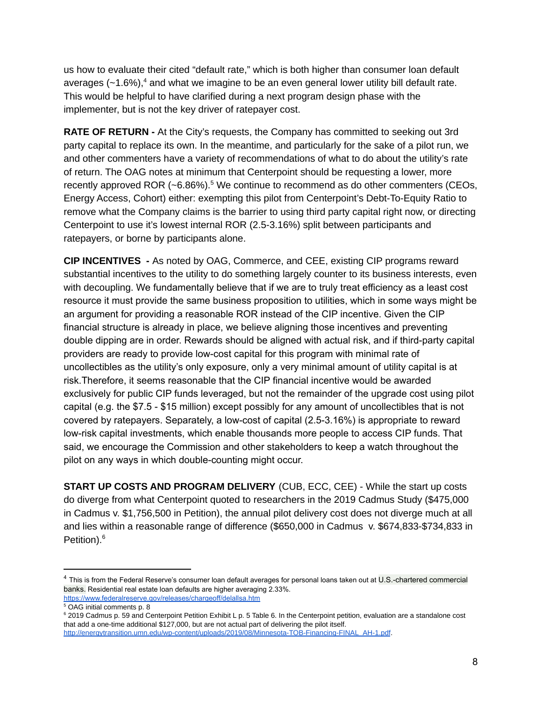us how to evaluate their cited "default rate," which is both higher than consumer loan default averages  $(-1.6%)$ ,<sup>4</sup> and what we imagine to be an even general lower utility bill default rate. This would be helpful to have clarified during a next program design phase with the implementer, but is not the key driver of ratepayer cost.

**RATE OF RETURN -** At the City's requests, the Company has committed to seeking out 3rd party capital to replace its own. In the meantime, and particularly for the sake of a pilot run, we and other commenters have a variety of recommendations of what to do about the utility's rate of return. The OAG notes at minimum that Centerpoint should be requesting a lower, more recently approved ROR  $(-6.86\%)$ .<sup>5</sup> We continue to recommend as do other commenters (CEOs, Energy Access, Cohort) either: exempting this pilot from Centerpoint's Debt-To-Equity Ratio to remove what the Company claims is the barrier to using third party capital right now, or directing Centerpoint to use it's lowest internal ROR (2.5-3.16%) split between participants and ratepayers, or borne by participants alone.

**CIP INCENTIVES -** As noted by OAG, Commerce, and CEE, existing CIP programs reward substantial incentives to the utility to do something largely counter to its business interests, even with decoupling. We fundamentally believe that if we are to truly treat efficiency as a least cost resource it must provide the same business proposition to utilities, which in some ways might be an argument for providing a reasonable ROR instead of the CIP incentive. Given the CIP financial structure is already in place, we believe aligning those incentives and preventing double dipping are in order. Rewards should be aligned with actual risk, and if third-party capital providers are ready to provide low-cost capital for this program with minimal rate of uncollectibles as the utility's only exposure, only a very minimal amount of utility capital is at risk.Therefore, it seems reasonable that the CIP financial incentive would be awarded exclusively for public CIP funds leveraged, but not the remainder of the upgrade cost using pilot capital (e.g. the \$7.5 - \$15 million) except possibly for any amount of uncollectibles that is not covered by ratepayers. Separately, a low-cost of capital (2.5-3.16%) is appropriate to reward low-risk capital investments, which enable thousands more people to access CIP funds. That said, we encourage the Commission and other stakeholders to keep a watch throughout the pilot on any ways in which double-counting might occur.

**START UP COSTS AND PROGRAM DELIVERY** (CUB, ECC, CEE) - While the start up costs do diverge from what Centerpoint quoted to researchers in the 2019 Cadmus Study (\$475,000 in Cadmus v. \$1,756,500 in Petition), the annual pilot delivery cost does not diverge much at all and lies within a reasonable range of difference (\$650,000 in Cadmus v. \$674,833-\$734,833 in Petition). 6

<sup>&</sup>lt;sup>4</sup> This is from the Federal Reserve's consumer loan default averages for personal loans taken out at U.S.-chartered commercial banks. Residential real estate loan defaults are higher averaging 2.33%.

<https://www.federalreserve.gov/releases/chargeoff/delallsa.htm>

<sup>5</sup> OAG initial comments p. 8

<sup>6</sup> 2019 Cadmus p. 59 and Centerpoint Petition Exhibit L p. 5 Table 6. In the Centerpoint petition, evaluation are a standalone cost that add a one-time additional \$127,000, but are not actual part of delivering the pilot itself. [http://energytransition.umn.edu/wp-content/uploads/2019/08/Minnesota-TOB-Financing-FINAL\\_AH-1.pdf](http://energytransition.umn.edu/wp-content/uploads/2019/08/Minnesota-TOB-Financing-FINAL_AH-1.pdf).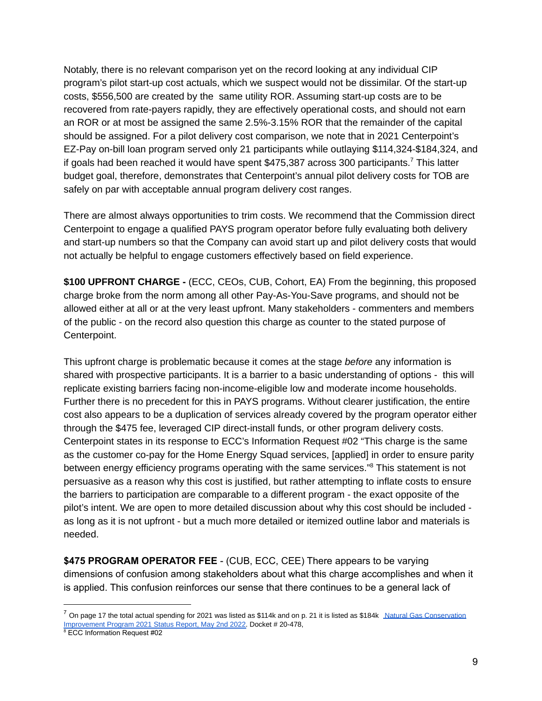Notably, there is no relevant comparison yet on the record looking at any individual CIP program's pilot start-up cost actuals, which we suspect would not be dissimilar. Of the start-up costs, \$556,500 are created by the same utility ROR. Assuming start-up costs are to be recovered from rate-payers rapidly, they are effectively operational costs, and should not earn an ROR or at most be assigned the same 2.5%-3.15% ROR that the remainder of the capital should be assigned. For a pilot delivery cost comparison, we note that in 2021 Centerpoint's EZ-Pay on-bill loan program served only 21 participants while outlaying \$114,324-\$184,324, and if goals had been reached it would have spent  $$475,387$  across 300 participants.<sup>7</sup> This latter budget goal, therefore, demonstrates that Centerpoint's annual pilot delivery costs for TOB are safely on par with acceptable annual program delivery cost ranges.

There are almost always opportunities to trim costs. We recommend that the Commission direct Centerpoint to engage a qualified PAYS program operator before fully evaluating both delivery and start-up numbers so that the Company can avoid start up and pilot delivery costs that would not actually be helpful to engage customers effectively based on field experience.

**\$100 UPFRONT CHARGE -** (ECC, CEOs, CUB, Cohort, EA) From the beginning, this proposed charge broke from the norm among all other Pay-As-You-Save programs, and should not be allowed either at all or at the very least upfront. Many stakeholders - commenters and members of the public - on the record also question this charge as counter to the stated purpose of Centerpoint.

This upfront charge is problematic because it comes at the stage *before* any information is shared with prospective participants. It is a barrier to a basic understanding of options - this will replicate existing barriers facing non-income-eligible low and moderate income households. Further there is no precedent for this in PAYS programs. Without clearer justification, the entire cost also appears to be a duplication of services already covered by the program operator either through the \$475 fee, leveraged CIP direct-install funds, or other program delivery costs. Centerpoint states in its response to ECC's Information Request #02 "This charge is the same as the customer co-pay for the Home Energy Squad services, [applied] in order to ensure parity between energy efficiency programs operating with the same services."<sup>8</sup> This statement is not persuasive as a reason why this cost is justified, but rather attempting to inflate costs to ensure the barriers to participation are comparable to a different program - the exact opposite of the pilot's intent. We are open to more detailed discussion about why this cost should be included as long as it is not upfront - but a much more detailed or itemized outline labor and materials is needed.

**\$475 PROGRAM OPERATOR FEE** - (CUB, ECC, CEE) There appears to be varying dimensions of confusion among stakeholders about what this charge accomplishes and when it is applied. This confusion reinforces our sense that there continues to be a general lack of

 $^7$  On page 17 the total actual spending for 2021 was listed as \$114k and on p. 21 it is listed as \$184k Natural Gas [Conservation](https://efiling.web.commerce.state.mn.us/edockets/searchDocuments.do?method=showPoup&documentId=%7B70E18580-0000-CC1B-BC09-6159A3806397%7D&documentTitle=20225-185424-01) [Improvement](https://efiling.web.commerce.state.mn.us/edockets/searchDocuments.do?method=showPoup&documentId=%7B70E18580-0000-CC1B-BC09-6159A3806397%7D&documentTitle=20225-185424-01) Program 2021 Status Report, May 2nd 2022. Docket # 20-478,

<sup>8</sup> ECC Information Request #02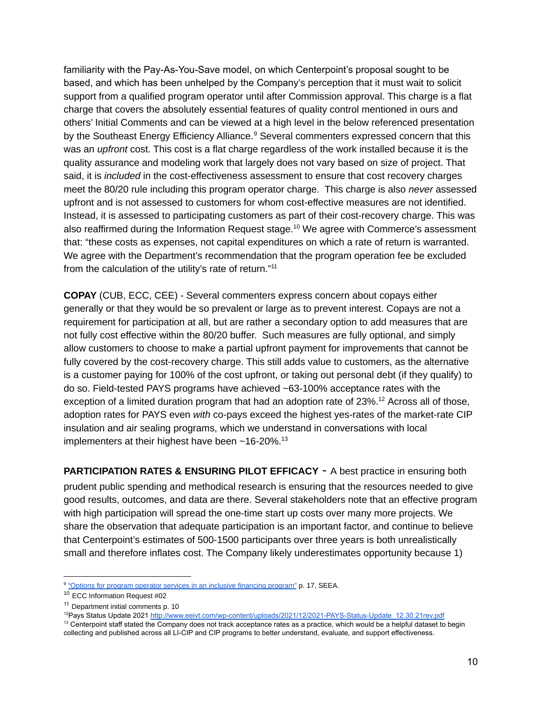familiarity with the Pay-As-You-Save model, on which Centerpoint's proposal sought to be based, and which has been unhelped by the Company's perception that it must wait to solicit support from a qualified program operator until after Commission approval. This charge is a flat charge that covers the absolutely essential features of quality control mentioned in ours and others' Initial Comments and can be viewed at a high level in the below referenced presentation by the Southeast Energy Efficiency Alliance.<sup>9</sup> Several commenters expressed concern that this was an *upfront* cost. This cost is a flat charge regardless of the work installed because it is the quality assurance and modeling work that largely does not vary based on size of project. That said, it is *included* in the cost-effectiveness assessment to ensure that cost recovery charges meet the 80/20 rule including this program operator charge. This charge is also *never* assessed upfront and is not assessed to customers for whom cost-effective measures are not identified. Instead, it is assessed to participating customers as part of their cost-recovery charge. This was also reaffirmed during the Information Request stage. $^{10}$  We agree with Commerce's assessment that: "these costs as expenses, not capital expenditures on which a rate of return is warranted. We agree with the Department's recommendation that the program operation fee be excluded from the calculation of the utility's rate of return."<sup>11</sup>

**COPAY** (CUB, ECC, CEE) - Several commenters express concern about copays either generally or that they would be so prevalent or large as to prevent interest. Copays are not a requirement for participation at all, but are rather a secondary option to add measures that are not fully cost effective within the 80/20 buffer. Such measures are fully optional, and simply allow customers to choose to make a partial upfront payment for improvements that cannot be fully covered by the cost-recovery charge. This still adds value to customers, as the alternative is a customer paying for 100% of the cost upfront, or taking out personal debt (if they qualify) to do so. Field-tested PAYS programs have achieved ~63-100% acceptance rates with the exception of a limited duration program that had an adoption rate of  $23\%$ .<sup>12</sup> Across all of those, adoption rates for PAYS even *with* co-pays exceed the highest yes-rates of the market-rate CIP insulation and air sealing programs, which we understand in conversations with local implementers at their highest have been  $\sim$  16-20%.<sup>13</sup>

**PARTICIPATION RATES & ENSURING PILOT EFFICACY** - A best practice in ensuring both prudent public spending and methodical research is ensuring that the resources needed to give good results, outcomes, and data are there. Several stakeholders note that an effective program with high participation will spread the one-time start up costs over many more projects. We share the observation that adequate participation is an important factor, and continue to believe that Centerpoint's estimates of 500-1500 participants over three years is both unrealistically small and therefore inflates cost. The Company likely underestimates opportunity because 1)

<sup>13</sup> Centerpoint staff stated the Company does not track acceptance rates as a practice, which would be a helpful dataset to begin collecting and published across all LI-CIP and CIP programs to better understand, evaluate, and support effectiveness.

<sup>&</sup>lt;sup>9</sup> "Options for program operator services in an inclusive financing [program"](https://www.seealliance.org/wp-content/uploads/05-Program-Operator-options-Final-05.17.18.pdf) p. 17, SEEA.

<sup>10</sup> ECC Information Request #02

<sup>&</sup>lt;sup>11</sup> Department initial comments p. 10

<sup>&</sup>lt;sup>12</sup>Pays Status Update 2021 [http://www.eeivt.com/wp-content/uploads/2021/12/2021-PAYS-Status-Update\\_12.30.21rev.pdf](http://www.eeivt.com/wp-content/uploads/2021/12/2021-PAYS-Status-Update_12.30.21rev.pdf)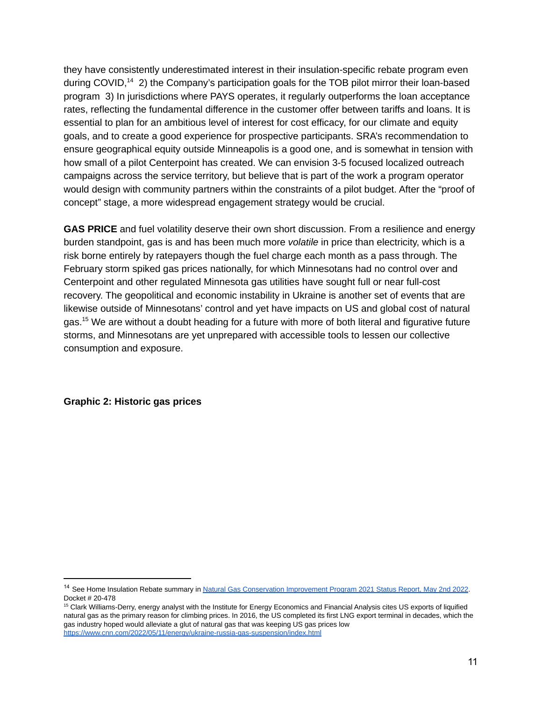they have consistently underestimated interest in their insulation-specific rebate program even during COVID, $^{14}$  2) the Company's participation goals for the TOB pilot mirror their loan-based program 3) In jurisdictions where PAYS operates, it regularly outperforms the loan acceptance rates, reflecting the fundamental difference in the customer offer between tariffs and loans. It is essential to plan for an ambitious level of interest for cost efficacy, for our climate and equity goals, and to create a good experience for prospective participants. SRA's recommendation to ensure geographical equity outside Minneapolis is a good one, and is somewhat in tension with how small of a pilot Centerpoint has created. We can envision 3-5 focused localized outreach campaigns across the service territory, but believe that is part of the work a program operator would design with community partners within the constraints of a pilot budget. After the "proof of concept" stage, a more widespread engagement strategy would be crucial.

**GAS PRICE** and fuel volatility deserve their own short discussion. From a resilience and energy burden standpoint, gas is and has been much more *volatile* in price than electricity, which is a risk borne entirely by ratepayers though the fuel charge each month as a pass through. The February storm spiked gas prices nationally, for which Minnesotans had no control over and Centerpoint and other regulated Minnesota gas utilities have sought full or near full-cost recovery. The geopolitical and economic instability in Ukraine is another set of events that are likewise outside of Minnesotans' control and yet have impacts on US and global cost of natural gas. $^{15}$  We are without a doubt heading for a future with more of both literal and figurative future storms, and Minnesotans are yet unprepared with accessible tools to lessen our collective consumption and exposure.

**Graphic 2: Historic gas prices**

<sup>&</sup>lt;sup>14</sup> See Home Insulation Rebate summary in Natural Gas [Conservation](https://efiling.web.commerce.state.mn.us/edockets/searchDocuments.do?method=showPoup&documentId=%7B70E18580-0000-CC1B-BC09-6159A3806397%7D&documentTitle=20225-185424-01) Improvement Program 2021 Status Report, May 2nd 2022. Docket # 20-478

<sup>&</sup>lt;sup>15</sup> Clark Williams-Derry, energy analyst with the Institute for Energy Economics and Financial Analysis cites US exports of liquified natural gas as the primary reason for climbing prices. In 2016, the US completed its first LNG export terminal in decades, which the gas industry hoped would alleviate a glut of natural gas that was keeping US gas prices low <https://www.cnn.com/2022/05/11/energy/ukraine-russia-gas-suspension/index.html>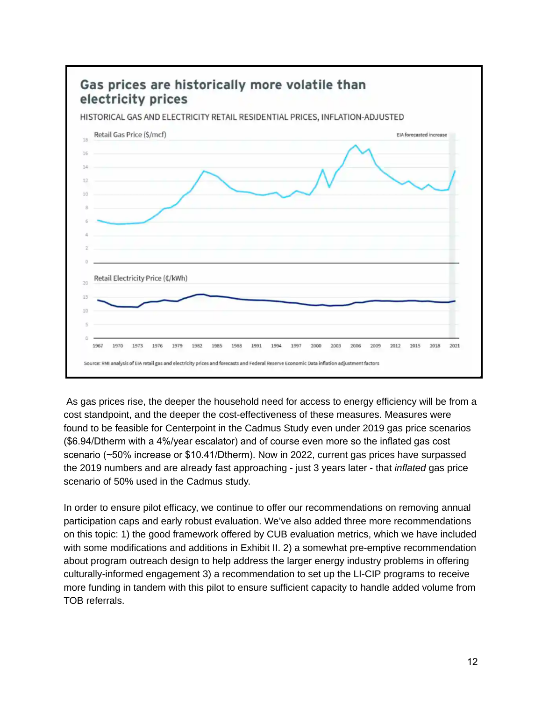

As gas prices rise, the deeper the household need for access to energy efficiency will be from a cost standpoint, and the deeper the cost-effectiveness of these measures. Measures were found to be feasible for Centerpoint in the Cadmus Study even under 2019 gas price scenarios (\$6.94/Dtherm with a 4%/year escalator) and of course even more so the inflated gas cost scenario (~50% increase or \$10.41/Dtherm). Now in 2022, current gas prices have surpassed the 2019 numbers and are already fast approaching - just 3 years later - that *inflated* gas price scenario of 50% used in the Cadmus study.

In order to ensure pilot efficacy, we continue to offer our recommendations on removing annual participation caps and early robust evaluation. We've also added three more recommendations on this topic: 1) the good framework offered by CUB evaluation metrics, which we have included with some modifications and additions in Exhibit II. 2) a somewhat pre-emptive recommendation about program outreach design to help address the larger energy industry problems in offering culturally-informed engagement 3) a recommendation to set up the LI-CIP programs to receive more funding in tandem with this pilot to ensure sufficient capacity to handle added volume from TOB referrals.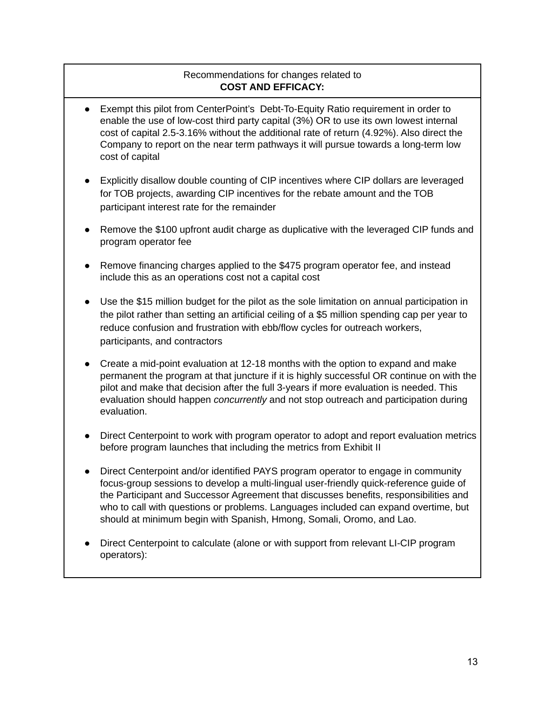### Recommendations for changes related to **COST AND EFFICACY:**

- Exempt this pilot from CenterPoint's Debt-To-Equity Ratio requirement in order to enable the use of low-cost third party capital (3%) OR to use its own lowest internal cost of capital 2.5-3.16% without the additional rate of return (4.92%). Also direct the Company to report on the near term pathways it will pursue towards a long-term low cost of capital
- Explicitly disallow double counting of CIP incentives where CIP dollars are leveraged for TOB projects, awarding CIP incentives for the rebate amount and the TOB participant interest rate for the remainder
- Remove the \$100 upfront audit charge as duplicative with the leveraged CIP funds and program operator fee
- Remove financing charges applied to the \$475 program operator fee, and instead include this as an operations cost not a capital cost
- Use the \$15 million budget for the pilot as the sole limitation on annual participation in the pilot rather than setting an artificial ceiling of a \$5 million spending cap per year to reduce confusion and frustration with ebb/flow cycles for outreach workers, participants, and contractors
- Create a mid-point evaluation at 12-18 months with the option to expand and make permanent the program at that juncture if it is highly successful OR continue on with the pilot and make that decision after the full 3-years if more evaluation is needed. This evaluation should happen *concurrently* and not stop outreach and participation during evaluation.
- Direct Centerpoint to work with program operator to adopt and report evaluation metrics before program launches that including the metrics from Exhibit II
- Direct Centerpoint and/or identified PAYS program operator to engage in community focus-group sessions to develop a multi-lingual user-friendly quick-reference guide of the Participant and Successor Agreement that discusses benefits, responsibilities and who to call with questions or problems. Languages included can expand overtime, but should at minimum begin with Spanish, Hmong, Somali, Oromo, and Lao.
- Direct Centerpoint to calculate (alone or with support from relevant LI-CIP program operators):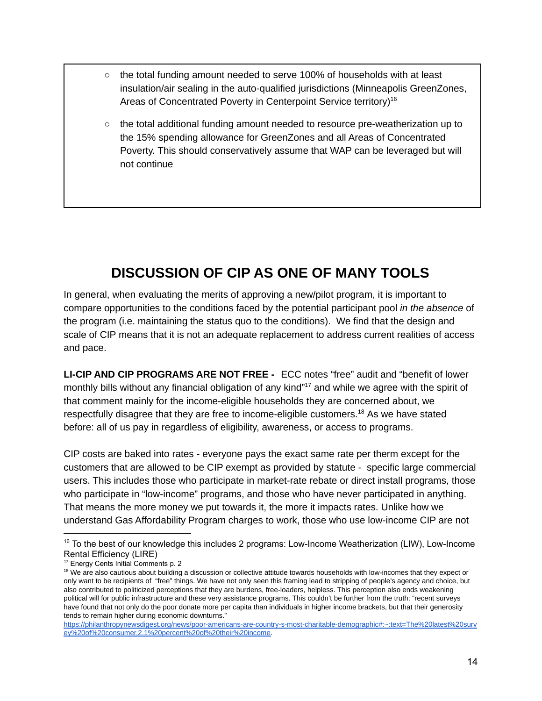- $\circ$  the total funding amount needed to serve 100% of households with at least insulation/air sealing in the auto-qualified jurisdictions (Minneapolis GreenZones, Areas of Concentrated Poverty in Centerpoint Service territory)<sup>16</sup>
- $\circ$  the total additional funding amount needed to resource pre-weatherization up to the 15% spending allowance for GreenZones and all Areas of Concentrated Poverty. This should conservatively assume that WAP can be leveraged but will not continue

# **DISCUSSION OF CIP AS ONE OF MANY TOOLS**

<span id="page-13-0"></span>In general, when evaluating the merits of approving a new/pilot program, it is important to compare opportunities to the conditions faced by the potential participant pool *in the absence* of the program (i.e. maintaining the status quo to the conditions). We find that the design and scale of CIP means that it is not an adequate replacement to address current realities of access and pace.

**LI-CIP AND CIP PROGRAMS ARE NOT FREE -** ECC notes "free" audit and "benefit of lower monthly bills without any financial obligation of any kind"<sup>17</sup> and while we agree with the spirit of that comment mainly for the income-eligible households they are concerned about, we respectfully disagree that they are free to income-eligible customers. $^{18}$  As we have stated before: all of us pay in regardless of eligibility, awareness, or access to programs.

CIP costs are baked into rates - everyone pays the exact same rate per therm except for the customers that are allowed to be CIP exempt as provided by statute - specific large commercial users. This includes those who participate in market-rate rebate or direct install programs, those who participate in "low-income" programs, and those who have never participated in anything. That means the more money we put towards it, the more it impacts rates. Unlike how we understand Gas Affordability Program charges to work, those who use low-income CIP are not

<sup>&</sup>lt;sup>16</sup> To the best of our knowledge this includes 2 programs: Low-Income Weatherization (LIW), Low-Income Rental Efficiency (LIRE)

<sup>17</sup> Energy Cents Initial Comments p. 2

<sup>&</sup>lt;sup>18</sup> We are also cautious about building a discussion or collective attitude towards households with low-incomes that they expect or only want to be recipients of "free" things. We have not only seen this framing lead to stripping of people's agency and choice, but also contributed to politicized perceptions that they are burdens, free-loaders, helpless. This perception also ends weakening political will for public infrastructure and these very assistance programs. This couldn't be further from the truth: "recent surveys have found that not only do the poor donate more per capita than individuals in higher income brackets, but that their generosity tends to remain higher during economic downturns."

[https://philanthropynewsdigest.org/news/poor-americans-are-country-s-most-charitable-demographic#:~:text=The%20latest%20surv](https://philanthropynewsdigest.org/news/poor-americans-are-country-s-most-charitable-demographic#:~:text=The%20latest%20survey%20of%20consumer,2.1%20percent%20of%20their%20income) [ey%20of%20consumer,2.1%20percent%20of%20their%20income.](https://philanthropynewsdigest.org/news/poor-americans-are-country-s-most-charitable-demographic#:~:text=The%20latest%20survey%20of%20consumer,2.1%20percent%20of%20their%20income)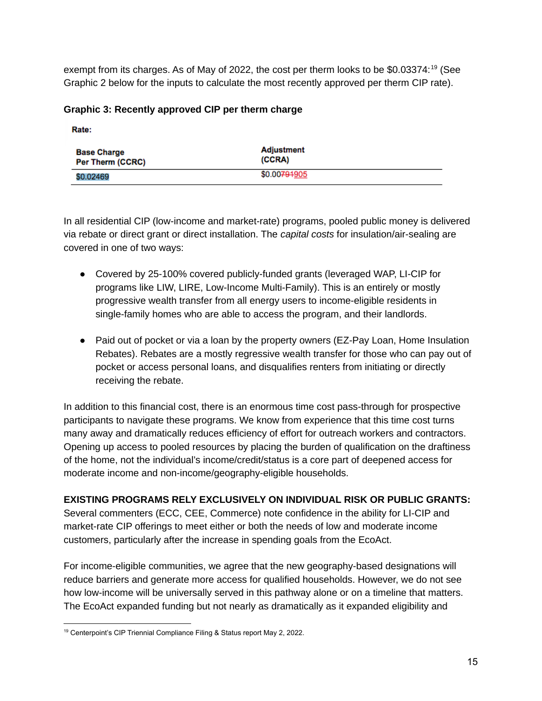exempt from its charges. As of May of 2022, the cost per therm looks to be \$0.03374: $^{19}$  (See Graphic 2 below for the inputs to calculate the most recently approved per therm CIP rate).

### **Graphic 3: Recently approved CIP per therm charge**

Rate: **Adjustment Base Charge** (CCRA) Per Therm (CCRC) \$0.00791905 \$0.02469

In all residential CIP (low-income and market-rate) programs, pooled public money is delivered via rebate or direct grant or direct installation. The *capital costs* for insulation/air-sealing are covered in one of two ways:

- Covered by 25-100% covered publicly-funded grants (leveraged WAP, LI-CIP for programs like LIW, LIRE, Low-Income Multi-Family). This is an entirely or mostly progressive wealth transfer from all energy users to income-eligible residents in single-family homes who are able to access the program, and their landlords.
- Paid out of pocket or via a loan by the property owners (EZ-Pay Loan, Home Insulation Rebates). Rebates are a mostly regressive wealth transfer for those who can pay out of pocket or access personal loans, and disqualifies renters from initiating or directly receiving the rebate.

In addition to this financial cost, there is an enormous time cost pass-through for prospective participants to navigate these programs. We know from experience that this time cost turns many away and dramatically reduces efficiency of effort for outreach workers and contractors. Opening up access to pooled resources by placing the burden of qualification on the draftiness of the home, not the individual's income/credit/status is a core part of deepened access for moderate income and non-income/geography-eligible households.

#### **EXISTING PROGRAMS RELY EXCLUSIVELY ON INDIVIDUAL RISK OR PUBLIC GRANTS:**

Several commenters (ECC, CEE, Commerce) note confidence in the ability for LI-CIP and market-rate CIP offerings to meet either or both the needs of low and moderate income customers, particularly after the increase in spending goals from the EcoAct.

For income-eligible communities, we agree that the new geography-based designations will reduce barriers and generate more access for qualified households. However, we do not see how low-income will be universally served in this pathway alone or on a timeline that matters. The EcoAct expanded funding but not nearly as dramatically as it expanded eligibility and

<sup>&</sup>lt;sup>19</sup> Centerpoint's CIP Triennial Compliance Filing & Status report May 2, 2022.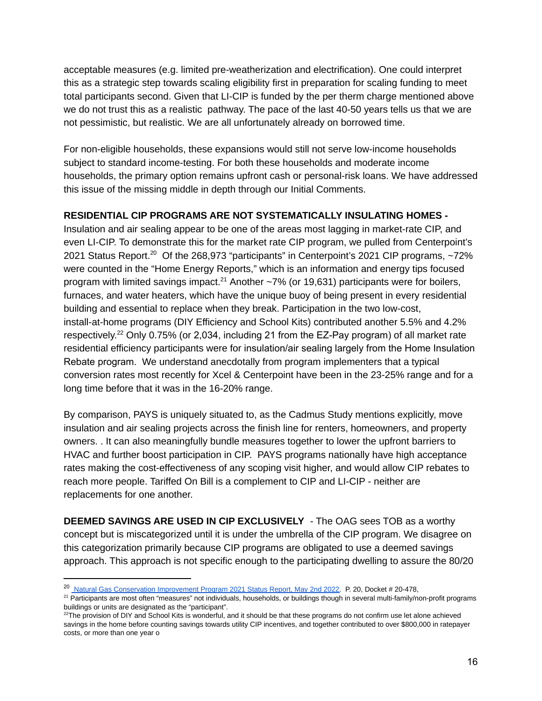acceptable measures (e.g. limited pre-weatherization and electrification). One could interpret this as a strategic step towards scaling eligibility first in preparation for scaling funding to meet total participants second. Given that LI-CIP is funded by the per therm charge mentioned above we do not trust this as a realistic pathway. The pace of the last 40-50 years tells us that we are not pessimistic, but realistic. We are all unfortunately already on borrowed time.

For non-eligible households, these expansions would still not serve low-income households subject to standard income-testing. For both these households and moderate income households, the primary option remains upfront cash or personal-risk loans. We have addressed this issue of the missing middle in depth through our Initial Comments.

#### **RESIDENTIAL CIP PROGRAMS ARE NOT SYSTEMATICALLY INSULATING HOMES -**

Insulation and air sealing appear to be one of the areas most lagging in market-rate CIP, and even LI-CIP. To demonstrate this for the market rate CIP program, we pulled from Centerpoint's 2021 Status Report.<sup>20</sup> Of the 268,973 "participants" in Centerpoint's 2021 CIP programs,  $\sim$ 72% were counted in the "Home Energy Reports," which is an information and energy tips focused program with limited savings impact.<sup>21</sup> Another  $\sim$ 7% (or 19,631) participants were for boilers, furnaces, and water heaters, which have the unique buoy of being present in every residential building and essential to replace when they break. Participation in the two low-cost, install-at-home programs (DIY Efficiency and School Kits) contributed another 5.5% and 4.2% respectively.<sup>22</sup> Only 0.75% (or 2,034, including 21 from the EZ-Pay program) of all market rate residential efficiency participants were for insulation/air sealing largely from the Home Insulation Rebate program. We understand anecdotally from program implementers that a typical conversion rates most recently for Xcel & Centerpoint have been in the 23-25% range and for a long time before that it was in the 16-20% range.

By comparison, PAYS is uniquely situated to, as the Cadmus Study mentions explicitly, move insulation and air sealing projects across the finish line for renters, homeowners, and property owners. . It can also meaningfully bundle measures together to lower the upfront barriers to HVAC and further boost participation in CIP. PAYS programs nationally have high acceptance rates making the cost-effectiveness of any scoping visit higher, and would allow CIP rebates to reach more people. Tariffed On Bill is a complement to CIP and LI-CIP - neither are replacements for one another.

**DEEMED SAVINGS ARE USED IN CIP EXCLUSIVELY** - The OAG sees TOB as a worthy concept but is miscategorized until it is under the umbrella of the CIP program. We disagree on this categorization primarily because CIP programs are obligated to use a deemed savings approach. This approach is not specific enough to the participating dwelling to assure the 80/20

<sup>20</sup> Natural Gas [Conservation](https://efiling.web.commerce.state.mn.us/edockets/searchDocuments.do?method=showPoup&documentId=%7B70E18580-0000-CC1B-BC09-6159A3806397%7D&documentTitle=20225-185424-01) Improvement Program 2021 Status Report, May 2nd 2022. P. 20, Docket # 20-478,

<sup>&</sup>lt;sup>21</sup> Participants are most often "measures" not individuals, households, or buildings though in several multi-family/non-profit programs buildings or units are designated as the "participant".

 $22$ The provision of DIY and School Kits is wonderful, and it should be that these programs do not confirm use let alone achieved savings in the home before counting savings towards utility CIP incentives, and together contributed to over \$800,000 in ratepayer costs, or more than one year o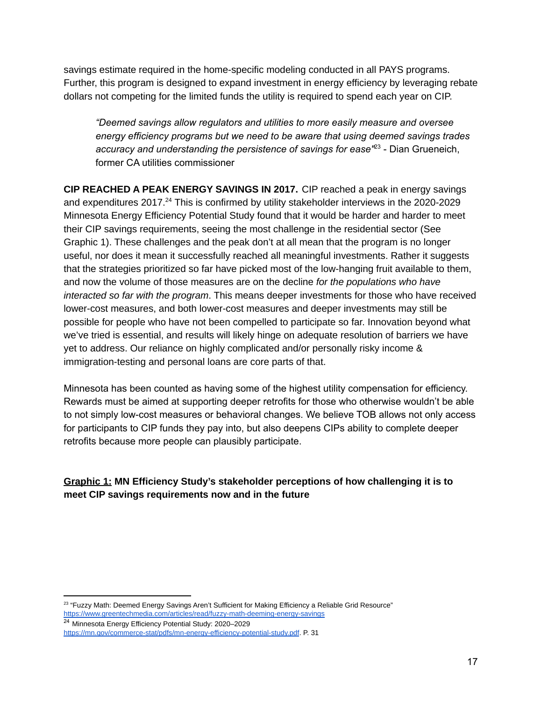savings estimate required in the home-specific modeling conducted in all PAYS programs. Further, this program is designed to expand investment in energy efficiency by leveraging rebate dollars not competing for the limited funds the utility is required to spend each year on CIP.

*"Deemed savings allow regulators and utilities to more easily measure and oversee energy efficiency programs but we need to be aware that using deemed savings trades accuracy and understanding the persistence of savings for ease"* - Dian Grueneich, 23 former CA utilities commissioner

**CIP REACHED A PEAK ENERGY SAVINGS IN 2017.** CIP reached a peak in energy savings and expenditures  $2017.^{24}$  This is confirmed by utility stakeholder interviews in the 2020-2029 Minnesota Energy Efficiency Potential Study found that it would be harder and harder to meet their CIP savings requirements, seeing the most challenge in the residential sector (See Graphic 1). These challenges and the peak don't at all mean that the program is no longer useful, nor does it mean it successfully reached all meaningful investments. Rather it suggests that the strategies prioritized so far have picked most of the low-hanging fruit available to them, and now the volume of those measures are on the decline *for the populations who have interacted so far with the program*. This means deeper investments for those who have received lower-cost measures, and both lower-cost measures and deeper investments may still be possible for people who have not been compelled to participate so far. Innovation beyond what we've tried is essential, and results will likely hinge on adequate resolution of barriers we have yet to address. Our reliance on highly complicated and/or personally risky income & immigration-testing and personal loans are core parts of that.

Minnesota has been counted as having some of the highest utility compensation for efficiency. Rewards must be aimed at supporting deeper retrofits for those who otherwise wouldn't be able to not simply low-cost measures or behavioral changes. We believe TOB allows not only access for participants to CIP funds they pay into, but also deepens CIPs ability to complete deeper retrofits because more people can plausibly participate.

### **Graphic 1: MN Efficiency Study's stakeholder perceptions of how challenging it is to meet CIP savings requirements now and in the future**

 $^{23}$  "Fuzzy Math: Deemed Energy Savings Aren't Sufficient for Making Efficiency a Reliable Grid Resource" <https://www.greentechmedia.com/articles/read/fuzzy-math-deeming-energy-savings>

<sup>24</sup> Minnesota Energy Efficiency Potential Study: 2020–2029 <https://mn.gov/commerce-stat/pdfs/mn-energy-efficiency-potential-study.pdf>. P. 31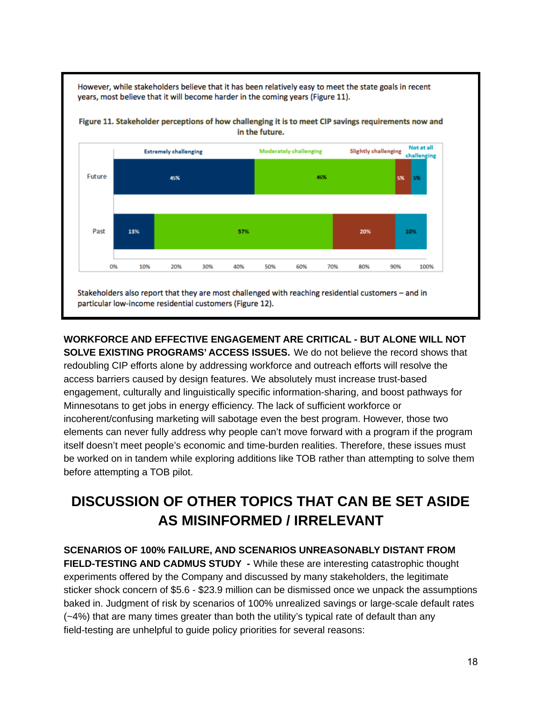However, while stakeholders believe that it has been relatively easy to meet the state goals in recent years, most believe that it will become harder in the coming years (Figure 11).





**WORKFORCE AND EFFECTIVE ENGAGEMENT ARE CRITICAL - BUT ALONE WILL NOT SOLVE EXISTING PROGRAMS' ACCESS ISSUES.** We do not believe the record shows that redoubling CIP efforts alone by addressing workforce and outreach efforts will resolve the access barriers caused by design features. We absolutely must increase trust-based engagement, culturally and linguistically specific information-sharing, and boost pathways for Minnesotans to get jobs in energy efficiency. The lack of sufficient workforce or incoherent/confusing marketing will sabotage even the best program. However, those two elements can never fully address why people can't move forward with a program if the program itself doesn't meet people's economic and time-burden realities. Therefore, these issues must be worked on in tandem while exploring additions like TOB rather than attempting to solve them before attempting a TOB pilot.

# <span id="page-17-0"></span>**DISCUSSION OF OTHER TOPICS THAT CAN BE SET ASIDE AS MISINFORMED / IRRELEVANT**

**SCENARIOS OF 100% FAILURE, AND SCENARIOS UNREASONABLY DISTANT FROM FIELD-TESTING AND CADMUS STUDY -** While these are interesting catastrophic thought experiments offered by the Company and discussed by many stakeholders, the legitimate sticker shock concern of \$5.6 - \$23.9 million can be dismissed once we unpack the assumptions baked in. Judgment of risk by scenarios of 100% unrealized savings or large-scale default rates (~4%) that are many times greater than both the utility's typical rate of default than any field-testing are unhelpful to guide policy priorities for several reasons: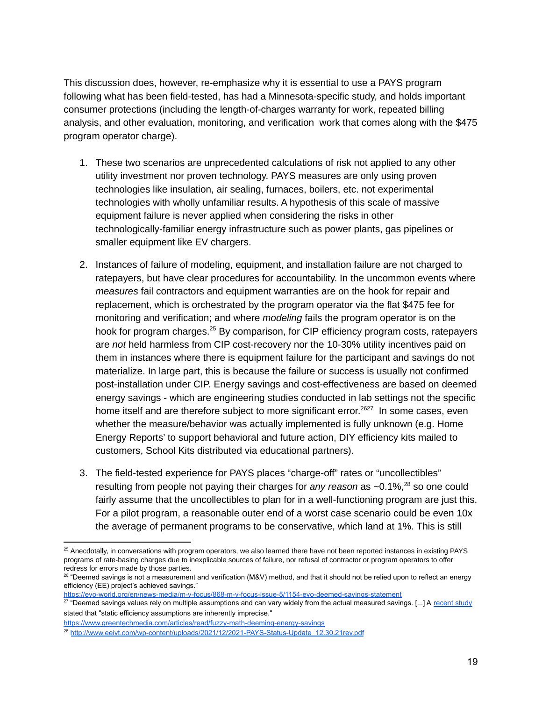This discussion does, however, re-emphasize why it is essential to use a PAYS program following what has been field-tested, has had a Minnesota-specific study, and holds important consumer protections (including the length-of-charges warranty for work, repeated billing analysis, and other evaluation, monitoring, and verification work that comes along with the \$475 program operator charge).

- 1. These two scenarios are unprecedented calculations of risk not applied to any other utility investment nor proven technology. PAYS measures are only using proven technologies like insulation, air sealing, furnaces, boilers, etc. not experimental technologies with wholly unfamiliar results. A hypothesis of this scale of massive equipment failure is never applied when considering the risks in other technologically-familiar energy infrastructure such as power plants, gas pipelines or smaller equipment like EV chargers.
- 2. Instances of failure of modeling, equipment, and installation failure are not charged to ratepayers, but have clear procedures for accountability. In the uncommon events where *measures* fail contractors and equipment warranties are on the hook for repair and replacement, which is orchestrated by the program operator via the flat \$475 fee for monitoring and verification; and where *modeling* fails the program operator is on the hook for program charges.<sup>25</sup> By comparison, for CIP efficiency program costs, ratepayers are *not* held harmless from CIP cost-recovery nor the 10-30% utility incentives paid on them in instances where there is equipment failure for the participant and savings do not materialize. In large part, this is because the failure or success is usually not confirmed post-installation under CIP. Energy savings and cost-effectiveness are based on deemed energy savings - which are engineering studies conducted in lab settings not the specific home itself and are therefore subject to more significant error.<sup>2627</sup> In some cases, even whether the measure/behavior was actually implemented is fully unknown (e.g. Home Energy Reports' to support behavioral and future action, DIY efficiency kits mailed to customers, School Kits distributed via educational partners).
- 3. The field-tested experience for PAYS places "charge-off" rates or "uncollectibles" resulting from people not paying their charges for *any reason* as ~0.1%,<sup>28</sup> so one could fairly assume that the uncollectibles to plan for in a well-functioning program are just this. For a pilot program, a reasonable outer end of a worst case scenario could be even 10x the average of permanent programs to be conservative, which land at 1%. This is still

<https://evo-world.org/en/news-media/m-v-focus/868-m-v-focus-issue-5/1154-evo-deemed-savings-statement>

<https://www.greentechmedia.com/articles/read/fuzzy-math-deeming-energy-savings>

<sup>&</sup>lt;sup>25</sup> Anecdotally, in conversations with program operators, we also learned there have not been reported instances in existing PAYS programs of rate-basing charges due to inexplicable sources of failure, nor refusal of contractor or program operators to offer redress for errors made by those parties.

<sup>&</sup>lt;sup>26</sup> "Deemed savings is not a measurement and verification (M&V) method, and that it should not be relied upon to reflect an energy efficiency (EE) project's achieved savings."

<sup>&</sup>lt;sup>27</sup> "Deemed savings values rely on multiple assumptions and can vary widely from the actual measured savings. [...] A [recent](http://www.energizect.com/sites/default/files/R91%20-%20Review%20of%20Impact%20Evaluation%20Best%20Practices_Final%20Report_3.30.16.pdf) study stated that "static efficiency assumptions are inherently imprecise."

<sup>&</sup>lt;sup>28</sup> [http://www.eeivt.com/wp-content/uploads/2021/12/2021-PAYS-Status-Update\\_12.30.21rev.pdf](http://www.eeivt.com/wp-content/uploads/2021/12/2021-PAYS-Status-Update_12.30.21rev.pdf)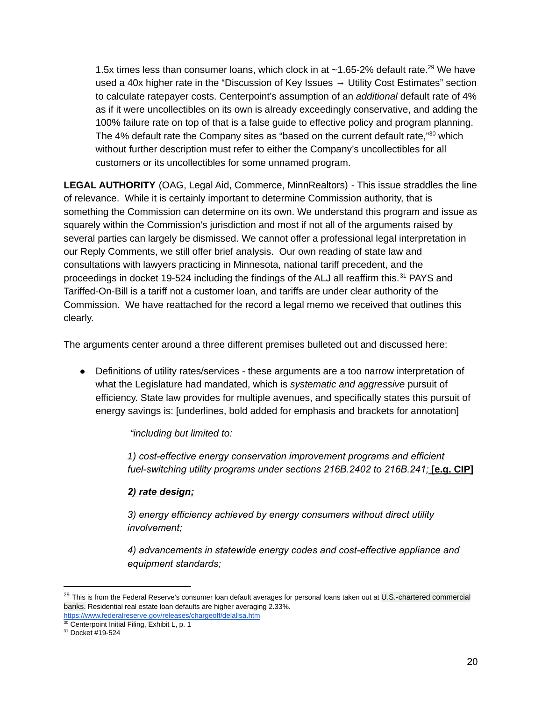1.5x times less than consumer loans, which clock in at  $\sim$ 1.65-2% default rate.<sup>29</sup> We have used a 40x higher rate in the "Discussion of Key Issues  $\rightarrow$  Utility Cost Estimates" section to calculate ratepayer costs. Centerpoint's assumption of an *additional* default rate of 4% as if it were uncollectibles on its own is already exceedingly conservative, and adding the 100% failure rate on top of that is a false guide to effective policy and program planning. The 4% default rate the Company sites as "based on the current default rate," $30$  which without further description must refer to either the Company's uncollectibles for all customers or its uncollectibles for some unnamed program.

**LEGAL AUTHORITY** (OAG, Legal Aid, Commerce, MinnRealtors) - This issue straddles the line of relevance. While it is certainly important to determine Commission authority, that is something the Commission can determine on its own. We understand this program and issue as squarely within the Commission's jurisdiction and most if not all of the arguments raised by several parties can largely be dismissed. We cannot offer a professional legal interpretation in our Reply Comments, we still offer brief analysis. Our own reading of state law and consultations with lawyers practicing in Minnesota, national tariff precedent, and the proceedings in docket 19-524 including the findings of the ALJ all reaffirm this. $^{31}$  PAYS and Tariffed-On-Bill is a tariff not a customer loan, and tariffs are under clear authority of the Commission. We have reattached for the record a legal memo we received that outlines this clearly.

The arguments center around a three different premises bulleted out and discussed here:

● Definitions of utility rates/services - these arguments are a too narrow interpretation of what the Legislature had mandated, which is *systematic and aggressive* pursuit of efficiency. State law provides for multiple avenues, and specifically states this pursuit of energy savings is: [underlines, bold added for emphasis and brackets for annotation]

*"including but limited to:*

*1) cost-effective energy conservation improvement programs and efficient fuel-switching utility programs under sections 216B.2402 to 216B.241;* **[e.g. CIP]**

### *2) rate design;*

*3) energy efficiency achieved by energy consumers without direct utility involvement;*

*4) advancements in statewide energy codes and cost-effective appliance and equipment standards;*

<sup>&</sup>lt;sup>29</sup> This is from the Federal Reserve's consumer loan default averages for personal loans taken out at U.S.-chartered commercial banks. Residential real estate loan defaults are higher averaging 2.33%.

 $30$  Centerpoint Initial Filing, Exhibit L, p. 1 <https://www.federalreserve.gov/releases/chargeoff/delallsa.htm>

<sup>31</sup> Docket #19-524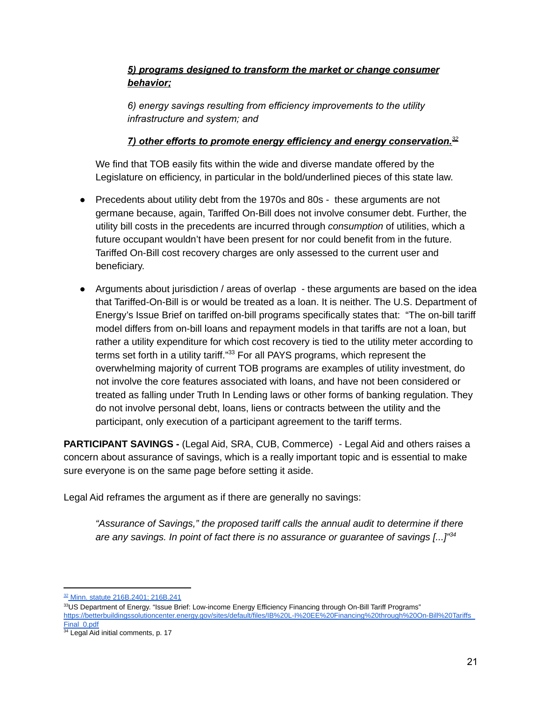# *5) programs designed to transform the market or change consumer behavior;*

*6) energy savings resulting from efficiency improvements to the utility infrastructure and system; and*

### *7) other efforts to promote energy efficiency and energy conservation. 32*

We find that TOB easily fits within the wide and diverse mandate offered by the Legislature on efficiency, in particular in the bold/underlined pieces of this state law.

- Precedents about utility debt from the 1970s and 80s these arguments are not germane because, again, Tariffed On-Bill does not involve consumer debt. Further, the utility bill costs in the precedents are incurred through *consumption* of utilities, which a future occupant wouldn't have been present for nor could benefit from in the future. Tariffed On-Bill cost recovery charges are only assessed to the current user and beneficiary.
- Arguments about jurisdiction / areas of overlap these arguments are based on the idea that Tariffed-On-Bill is or would be treated as a loan. It is neither. The U.S. Department of Energy's Issue Brief on tariffed on-bill programs specifically states that: "The on-bill tariff model differs from on-bill loans and repayment models in that tariffs are not a loan, but rather a utility expenditure for which cost recovery is tied to the utility meter according to terms set forth in a utility tariff."<sup>33</sup> For all PAYS programs, which represent the overwhelming majority of current TOB programs are examples of utility investment, do not involve the core features associated with loans, and have not been considered or treated as falling under Truth In Lending laws or other forms of banking regulation. They do not involve personal debt, loans, liens or contracts between the utility and the participant, only execution of a participant agreement to the tariff terms.

**PARTICIPANT SAVINGS -** (Legal Aid, SRA, CUB, Commerce) - Legal Aid and others raises a concern about assurance of savings, which is a really important topic and is essential to make sure everyone is on the same page before setting it aside.

Legal Aid reframes the argument as if there are generally no savings:

*"Assurance of Savings," the proposed tariff calls the annual audit to determine if there are any savings. In point of fact there is no assurance or guarantee of savings [...]" 34*

<sup>32</sup> Minn. statute 216B.2401: 216B.241

<sup>33</sup>US Department of Energy. "Issue Brief: Low-income Energy Efficiency Financing through On-Bill Tariff Programs" [https://betterbuildingssolutioncenter.energy.gov/sites/default/files/IB%20L-I%20EE%20Financing%20through%20On-Bill%20Tariffs\\_](https://betterbuildingssolutioncenter.energy.gov/sites/default/files/IB%20L-I%20EE%20Financing%20through%20On-Bill%20Tariffs_Final_0.pdf) [Final\\_0.pdf](https://betterbuildingssolutioncenter.energy.gov/sites/default/files/IB%20L-I%20EE%20Financing%20through%20On-Bill%20Tariffs_Final_0.pdf)

<sup>&</sup>lt;sup>34</sup> Legal Aid initial comments, p. 17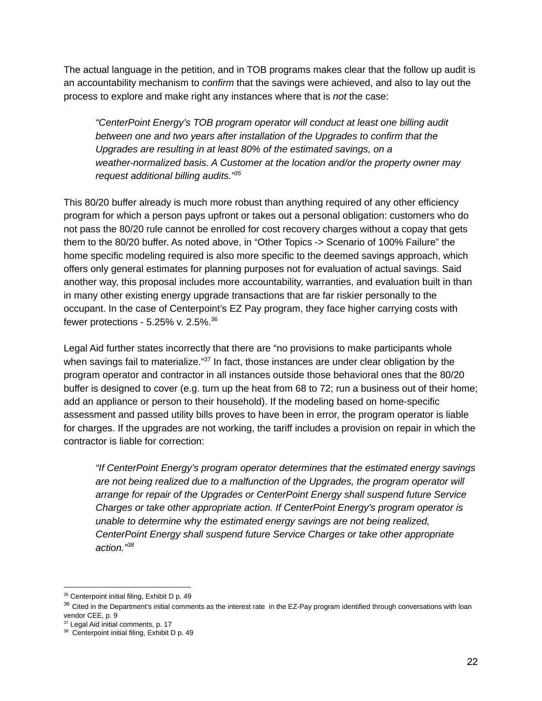The actual language in the petition, and in TOB programs makes clear that the follow up audit is an accountability mechanism to *confirm* that the savings were achieved, and also to lay out the process to explore and make right any instances where that is *not* the case:

*"CenterPoint Energy's TOB program operator will conduct at least one billing audit between one and two years after installation of the Upgrades to confirm that the Upgrades are resulting in at least 80% of the estimated savings, on a weather-normalized basis. A Customer at the location and/or the property owner may request additional billing audits." 35*

This 80/20 buffer already is much more robust than anything required of any other efficiency program for which a person pays upfront or takes out a personal obligation: customers who do not pass the 80/20 rule cannot be enrolled for cost recovery charges without a copay that gets them to the 80/20 buffer. As noted above, in "Other Topics -> Scenario of 100% Failure" the home specific modeling required is also more specific to the deemed savings approach, which offers only general estimates for planning purposes not for evaluation of actual savings. Said another way, this proposal includes more accountability, warranties, and evaluation built in than in many other existing energy upgrade transactions that are far riskier personally to the occupant. In the case of Centerpoint's EZ Pay program, they face higher carrying costs with fewer protections - 5.25% v. 2.5%. 36

Legal Aid further states incorrectly that there are "no provisions to make participants whole when savings fail to materialize." $37$  In fact, those instances are under clear obligation by the program operator and contractor in all instances outside those behavioral ones that the 80/20 buffer is designed to cover (e.g. turn up the heat from 68 to 72; run a business out of their home; add an appliance or person to their household). If the modeling based on home-specific assessment and passed utility bills proves to have been in error, the program operator is liable for charges. If the upgrades are not working, the tariff includes a provision on repair in which the contractor is liable for correction:

*"If CenterPoint Energy's program operator determines that the estimated energy savings are not being realized due to a malfunction of the Upgrades, the program operator will arrange for repair of the Upgrades or CenterPoint Energy shall suspend future Service Charges or take other appropriate action. If CenterPoint Energy's program operator is unable to determine why the estimated energy savings are not being realized, CenterPoint Energy shall suspend future Service Charges or take other appropriate action." 38*

<sup>&</sup>lt;sup>35</sup> Centerpoint initial filing, Exhibit D p. 49

 $36$  Cited in the Department's initial comments as the interest rate in the EZ-Pay program identified through conversations with loan vendor CEE, p. 9

<sup>&</sup>lt;sup>37</sup> Legal Aid initial comments, p. 17

<sup>&</sup>lt;sup>38</sup> Centerpoint initial filing, Exhibit D p. 49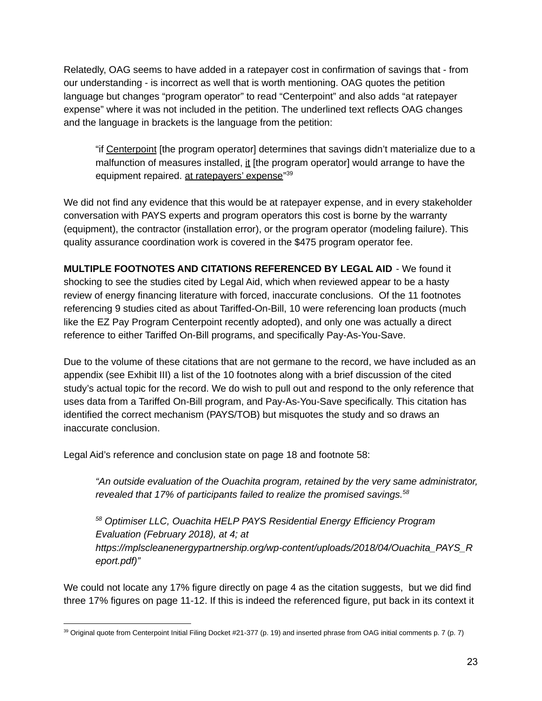Relatedly, OAG seems to have added in a ratepayer cost in confirmation of savings that - from our understanding - is incorrect as well that is worth mentioning. OAG quotes the petition language but changes "program operator" to read "Centerpoint" and also adds "at ratepayer expense" where it was not included in the petition. The underlined text reflects OAG changes and the language in brackets is the language from the petition:

"if Centerpoint [the program operator] determines that savings didn't materialize due to a malfunction of measures installed, it [the program operator] would arrange to have the equipment repaired. at ratepayers' expense"<sup>39</sup>

We did not find any evidence that this would be at ratepayer expense, and in every stakeholder conversation with PAYS experts and program operators this cost is borne by the warranty (equipment), the contractor (installation error), or the program operator (modeling failure). This quality assurance coordination work is covered in the \$475 program operator fee.

**MULTIPLE FOOTNOTES AND CITATIONS REFERENCED BY LEGAL AID** - We found it shocking to see the studies cited by Legal Aid, which when reviewed appear to be a hasty review of energy financing literature with forced, inaccurate conclusions. Of the 11 footnotes referencing 9 studies cited as about Tariffed-On-Bill, 10 were referencing loan products (much like the EZ Pay Program Centerpoint recently adopted), and only one was actually a direct reference to either Tariffed On-Bill programs, and specifically Pay-As-You-Save.

Due to the volume of these citations that are not germane to the record, we have included as an appendix (see Exhibit III) a list of the 10 footnotes along with a brief discussion of the cited study's actual topic for the record. We do wish to pull out and respond to the only reference that uses data from a Tariffed On-Bill program, and Pay-As-You-Save specifically. This citation has identified the correct mechanism (PAYS/TOB) but misquotes the study and so draws an inaccurate conclusion.

Legal Aid's reference and conclusion state on page 18 and footnote 58:

*"An outside evaluation of the Ouachita program, retained by the very same administrator, revealed that 17% of participants failed to realize the promised savings. 58*

*<sup>58</sup> Optimiser LLC, Ouachita HELP PAYS Residential Energy Efficiency Program Evaluation (February 2018), at 4; at https://mplscleanenergypartnership.org/wp-content/uploads/2018/04/Ouachita\_PAYS\_R eport.pdf)"*

We could not locate any 17% figure directly on page 4 as the citation suggests, but we did find three 17% figures on page 11-12. If this is indeed the referenced figure, put back in its context it

<sup>&</sup>lt;sup>39</sup> Original quote from Centerpoint Initial Filing Docket #21-377 (p. 19) and inserted phrase from OAG initial comments p. 7 (p. 7)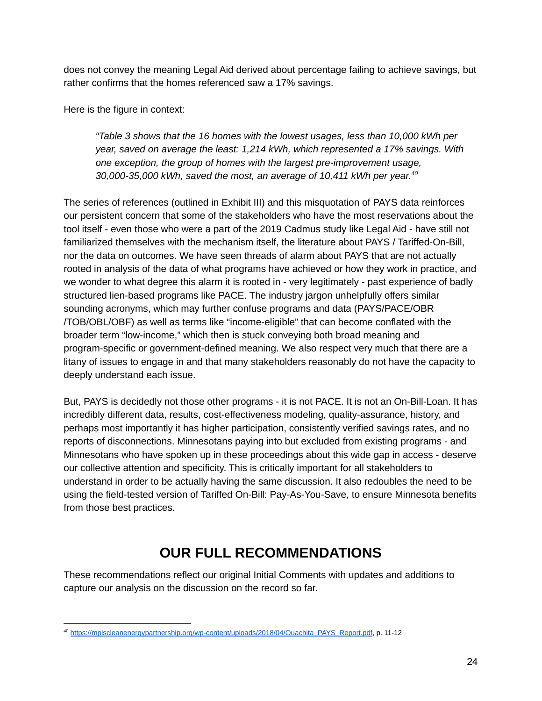does not convey the meaning Legal Aid derived about percentage failing to achieve savings, but rather confirms that the homes referenced saw a 17% savings.

Here is the figure in context:

*"Table 3 shows that the 16 homes with the lowest usages, less than 10,000 kWh per year, saved on average the least: 1,214 kWh, which represented a 17% savings. With one exception, the group of homes with the largest pre-improvement usage, 30,000-35,000 kWh, saved the most, an average of 10,411 kWh per year. 40*

The series of references (outlined in Exhibit III) and this misquotation of PAYS data reinforces our persistent concern that some of the stakeholders who have the most reservations about the tool itself - even those who were a part of the 2019 Cadmus study like Legal Aid - have still not familiarized themselves with the mechanism itself, the literature about PAYS / Tariffed-On-Bill, nor the data on outcomes. We have seen threads of alarm about PAYS that are not actually rooted in analysis of the data of what programs have achieved or how they work in practice, and we wonder to what degree this alarm it is rooted in - very legitimately - past experience of badly structured lien-based programs like PACE. The industry jargon unhelpfully offers similar sounding acronyms, which may further confuse programs and data (PAYS/PACE/OBR /TOB/OBL/OBF) as well as terms like "income-eligible" that can become conflated with the broader term "low-income," which then is stuck conveying both broad meaning and program-specific or government-defined meaning. We also respect very much that there are a litany of issues to engage in and that many stakeholders reasonably do not have the capacity to deeply understand each issue.

But, PAYS is decidedly not those other programs - it is not PACE. It is not an On-Bill-Loan. It has incredibly different data, results, cost-effectiveness modeling, quality-assurance, history, and perhaps most importantly it has higher participation, consistently verified savings rates, and no reports of disconnections. Minnesotans paying into but excluded from existing programs - and Minnesotans who have spoken up in these proceedings about this wide gap in access - deserve our collective attention and specificity. This is critically important for all stakeholders to understand in order to be actually having the same discussion. It also redoubles the need to be using the field-tested version of Tariffed On-Bill: Pay-As-You-Save, to ensure Minnesota benefits from those best practices.

# **OUR FULL RECOMMENDATIONS**

These recommendations reflect our original Initial Comments with updates and additions to capture our analysis on the discussion on the record so far.

<sup>40</sup> [https://mplscleanenergypartnership.org/wp-content/uploads/2018/04/Ouachita\\_PAYS\\_Report.pdf,](https://mplscleanenergypartnership.org/wp-content/uploads/2018/04/Ouachita_PAYS_Report.pdf) p. 11-12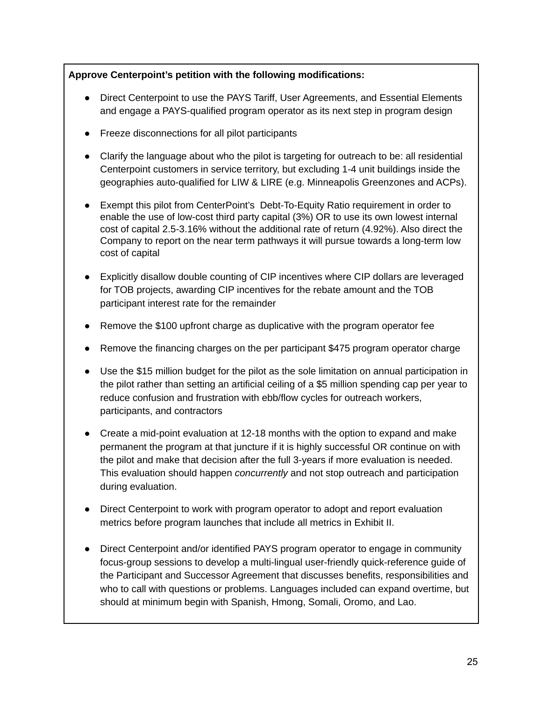### **Approve Centerpoint's petition with the following modifications:**

- Direct Centerpoint to use the PAYS Tariff, User Agreements, and Essential Elements and engage a PAYS-qualified program operator as its next step in program design
- Freeze disconnections for all pilot participants
- Clarify the language about who the pilot is targeting for outreach to be: all residential Centerpoint customers in service territory, but excluding 1-4 unit buildings inside the geographies auto-qualified for LIW & LIRE (e.g. Minneapolis Greenzones and ACPs).
- Exempt this pilot from CenterPoint's Debt-To-Equity Ratio requirement in order to enable the use of low-cost third party capital (3%) OR to use its own lowest internal cost of capital 2.5-3.16% without the additional rate of return (4.92%). Also direct the Company to report on the near term pathways it will pursue towards a long-term low cost of capital
- Explicitly disallow double counting of CIP incentives where CIP dollars are leveraged for TOB projects, awarding CIP incentives for the rebate amount and the TOB participant interest rate for the remainder
- Remove the \$100 upfront charge as duplicative with the program operator fee
- Remove the financing charges on the per participant \$475 program operator charge
- Use the \$15 million budget for the pilot as the sole limitation on annual participation in the pilot rather than setting an artificial ceiling of a \$5 million spending cap per year to reduce confusion and frustration with ebb/flow cycles for outreach workers, participants, and contractors
- Create a mid-point evaluation at 12-18 months with the option to expand and make permanent the program at that juncture if it is highly successful OR continue on with the pilot and make that decision after the full 3-years if more evaluation is needed. This evaluation should happen *concurrently* and not stop outreach and participation during evaluation.
- Direct Centerpoint to work with program operator to adopt and report evaluation metrics before program launches that include all metrics in Exhibit II.
- Direct Centerpoint and/or identified PAYS program operator to engage in community focus-group sessions to develop a multi-lingual user-friendly quick-reference guide of the Participant and Successor Agreement that discusses benefits, responsibilities and who to call with questions or problems. Languages included can expand overtime, but should at minimum begin with Spanish, Hmong, Somali, Oromo, and Lao.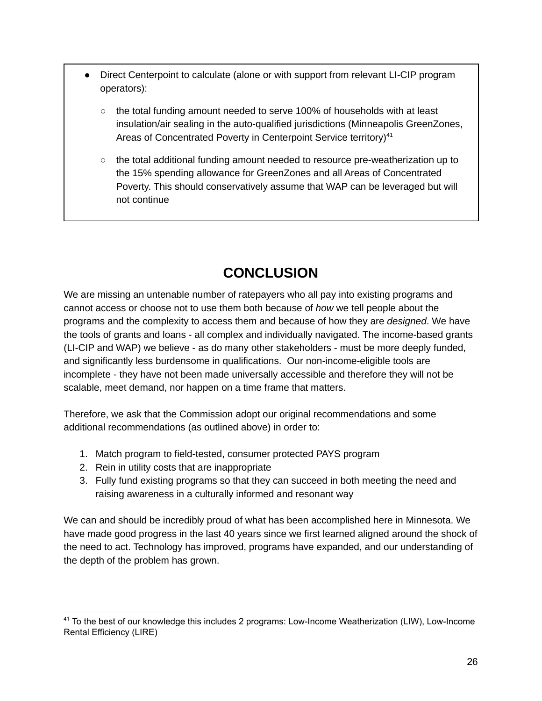- Direct Centerpoint to calculate (alone or with support from relevant LI-CIP program operators):
	- $\circ$  the total funding amount needed to serve 100% of households with at least insulation/air sealing in the auto-qualified jurisdictions (Minneapolis GreenZones, Areas of Concentrated Poverty in Centerpoint Service territory)<sup>41</sup>
	- $\circ$  the total additional funding amount needed to resource pre-weatherization up to the 15% spending allowance for GreenZones and all Areas of Concentrated Poverty. This should conservatively assume that WAP can be leveraged but will not continue

# **CONCLUSION**

We are missing an untenable number of ratepayers who all pay into existing programs and cannot access or choose not to use them both because of *how* we tell people about the programs and the complexity to access them and because of how they are *designed*. We have the tools of grants and loans - all complex and individually navigated. The income-based grants (LI-CIP and WAP) we believe - as do many other stakeholders - must be more deeply funded, and significantly less burdensome in qualifications. Our non-income-eligible tools are incomplete - they have not been made universally accessible and therefore they will not be scalable, meet demand, nor happen on a time frame that matters.

Therefore, we ask that the Commission adopt our original recommendations and some additional recommendations (as outlined above) in order to:

- 1. Match program to field-tested, consumer protected PAYS program
- 2. Rein in utility costs that are inappropriate
- 3. Fully fund existing programs so that they can succeed in both meeting the need and raising awareness in a culturally informed and resonant way

We can and should be incredibly proud of what has been accomplished here in Minnesota. We have made good progress in the last 40 years since we first learned aligned around the shock of the need to act. Technology has improved, programs have expanded, and our understanding of the depth of the problem has grown.

<sup>41</sup> To the best of our knowledge this includes 2 programs: Low-Income Weatherization (LIW), Low-Income Rental Efficiency (LIRE)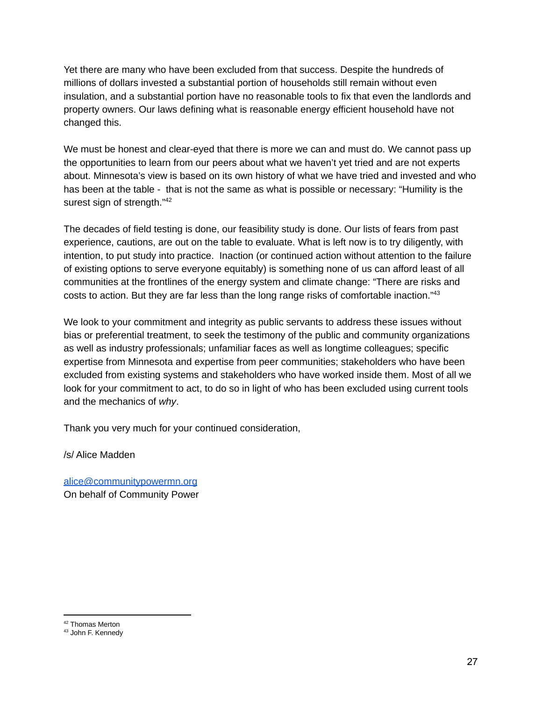Yet there are many who have been excluded from that success. Despite the hundreds of millions of dollars invested a substantial portion of households still remain without even insulation, and a substantial portion have no reasonable tools to fix that even the landlords and property owners. Our laws defining what is reasonable energy efficient household have not changed this.

We must be honest and clear-eyed that there is more we can and must do. We cannot pass up the opportunities to learn from our peers about what we haven't yet tried and are not experts about. Minnesota's view is based on its own history of what we have tried and invested and who has been at the table - that is not the same as what is possible or necessary: "Humility is the surest sign of strength."<sup>42</sup>

The decades of field testing is done, our feasibility study is done. Our lists of fears from past experience, cautions, are out on the table to evaluate. What is left now is to try diligently, with intention, to put study into practice. Inaction (or continued action without attention to the failure of existing options to serve everyone equitably) is something none of us can afford least of all communities at the frontlines of the energy system and climate change: "There are risks and costs to action. But they are far less than the long range risks of comfortable inaction."<sup>43</sup>

We look to your commitment and integrity as public servants to address these issues without bias or preferential treatment, to seek the testimony of the public and community organizations as well as industry professionals; unfamiliar faces as well as longtime colleagues; specific expertise from Minnesota and expertise from peer communities; stakeholders who have been excluded from existing systems and stakeholders who have worked inside them. Most of all we look for your commitment to act, to do so in light of who has been excluded using current tools and the mechanics of *why*.

Thank you very much for your continued consideration,

/s/ Alice Madden

[alice@communitypowermn.org](mailto:alice@communitypowermn.org) On behalf of Community Power

<sup>42</sup> Thomas Merton

<sup>43</sup> John F. Kennedy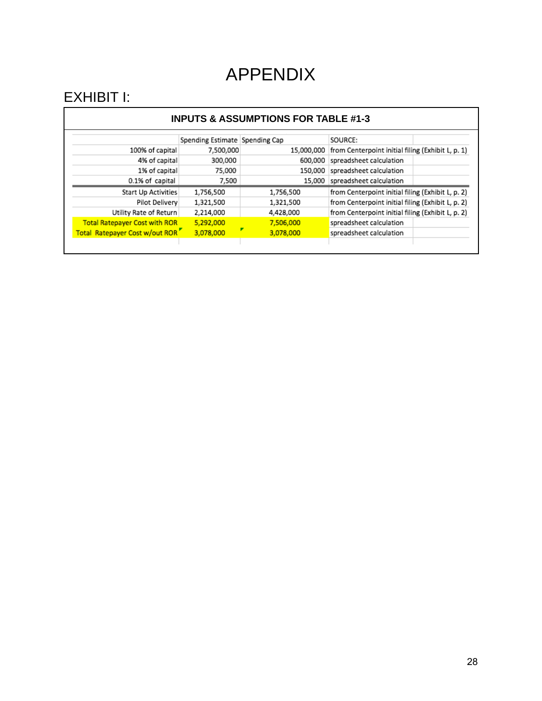# APPENDIX

# EXHIBIT I:

#### **INPUTS & ASSUMPTIONS FOR TABLE #1-3**

|                                      | Spending Estimate Spending Cap |            | SOURCE:                                           |
|--------------------------------------|--------------------------------|------------|---------------------------------------------------|
| 100% of capital                      | 7,500,000                      | 15,000,000 | from Centerpoint initial filing (Exhibit L, p. 1) |
| 4% of capital                        | 300,000                        | 600,000    | spreadsheet calculation                           |
| 1% of capital                        | 75,000                         |            | 150,000 spreadsheet calculation                   |
| 0.1% of capital                      | 7,500                          | 15,000     | spreadsheet calculation                           |
| Start Up Activities                  | 1,756,500                      | 1,756,500  | from Centerpoint initial filing (Exhibit L, p. 2) |
| Pilot Delivery                       | 1,321,500                      | 1,321,500  | from Centerpoint initial filing (Exhibit L, p. 2) |
| Utility Rate of Return               | 2,214,000                      | 4,428,000  | from Centerpoint initial filing (Exhibit L, p. 2) |
| <b>Total Ratepayer Cost with ROR</b> | 5,292,000                      | 7,506,000  | spreadsheet calculation                           |
| Total Ratepayer Cost w/out ROR"      | 3,078,000                      | 3,078,000  | spreadsheet calculation                           |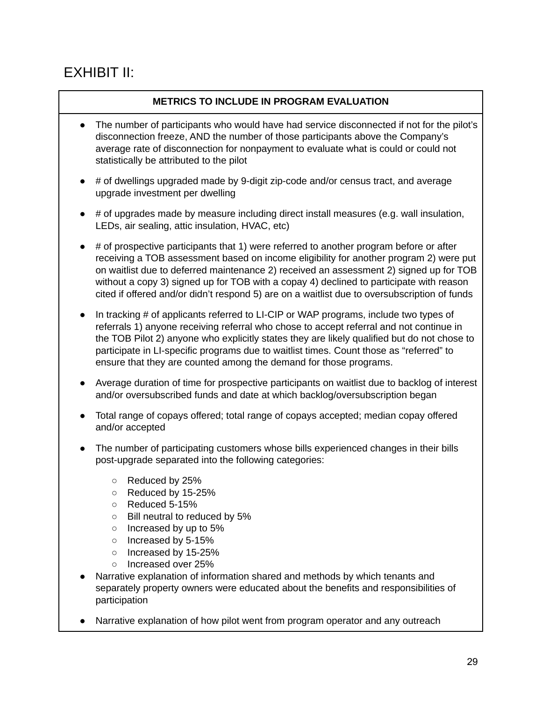# EXHIBIT II:

### **METRICS TO INCLUDE IN PROGRAM EVALUATION**

- The number of participants who would have had service disconnected if not for the pilot's disconnection freeze, AND the number of those participants above the Company's average rate of disconnection for nonpayment to evaluate what is could or could not statistically be attributed to the pilot
- $\bullet$  # of dwellings upgraded made by 9-digit zip-code and/or census tract, and average upgrade investment per dwelling
- # of upgrades made by measure including direct install measures (e.g. wall insulation, LEDs, air sealing, attic insulation, HVAC, etc)
- $\bullet$  # of prospective participants that 1) were referred to another program before or after receiving a TOB assessment based on income eligibility for another program 2) were put on waitlist due to deferred maintenance 2) received an assessment 2) signed up for TOB without a copy 3) signed up for TOB with a copay 4) declined to participate with reason cited if offered and/or didn't respond 5) are on a waitlist due to oversubscription of funds
- In tracking  $#$  of applicants referred to LI-CIP or WAP programs, include two types of referrals 1) anyone receiving referral who chose to accept referral and not continue in the TOB Pilot 2) anyone who explicitly states they are likely qualified but do not chose to participate in LI-specific programs due to waitlist times. Count those as "referred" to ensure that they are counted among the demand for those programs.
- Average duration of time for prospective participants on waitlist due to backlog of interest and/or oversubscribed funds and date at which backlog/oversubscription began
- Total range of copays offered; total range of copays accepted; median copay offered and/or accepted
- The number of participating customers whose bills experienced changes in their bills post-upgrade separated into the following categories:
	- Reduced by 25%
	- Reduced by 15-25%
	- Reduced 5-15%
	- Bill neutral to reduced by 5%
	- $\circ$  Increased by up to 5%
	- Increased by 5-15%
	- Increased by 15-25%
	- Increased over 25%
- Narrative explanation of information shared and methods by which tenants and separately property owners were educated about the benefits and responsibilities of participation
- Narrative explanation of how pilot went from program operator and any outreach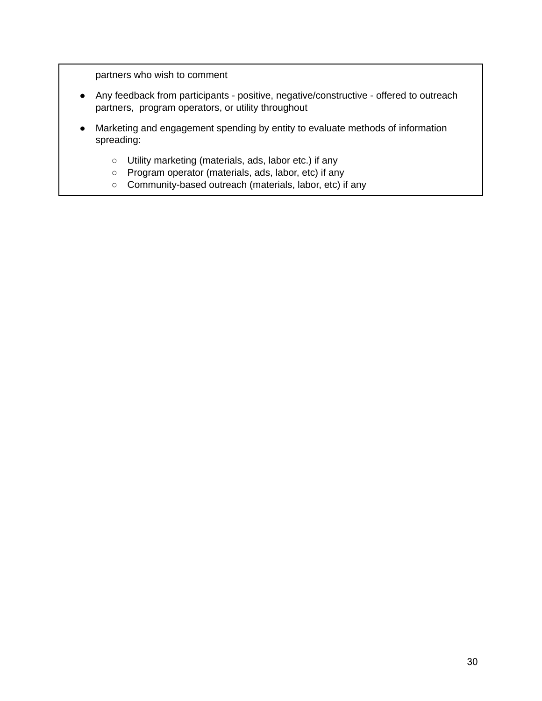partners who wish to comment

- Any feedback from participants positive, negative/constructive offered to outreach partners, program operators, or utility throughout
- Marketing and engagement spending by entity to evaluate methods of information spreading:
	- Utility marketing (materials, ads, labor etc.) if any
	- Program operator (materials, ads, labor, etc) if any
	- Community-based outreach (materials, labor, etc) if any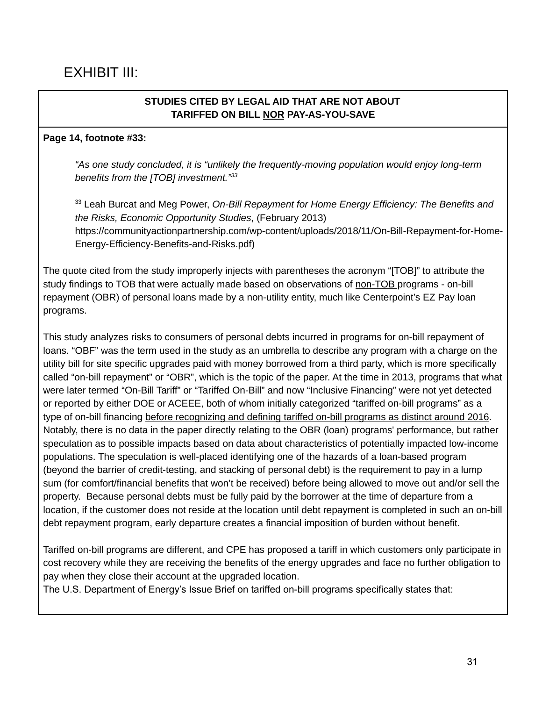### **STUDIES CITED BY LEGAL AID THAT ARE NOT ABOUT TARIFFED ON BILL NOR PAY-AS-YOU-SAVE**

### **Page 14, footnote #33:**

*"As one study concluded, it is "unlikely the frequently-moving population would enjoy long-term benefits from the [TOB] investment." 33*

<sup>33</sup> Leah Burcat and Meg Power, *On-Bill Repayment for Home Energy Efficiency: The Benefits and the Risks, Economic Opportunity Studies*, (February 2013) https://communityactionpartnership.com/wp-content/uploads/2018/11/On-Bill-Repayment-for-Home-Energy-Efficiency-Benefits-and-Risks.pdf)

The quote cited from the study improperly injects with parentheses the acronym "[TOB]" to attribute the study findings to TOB that were actually made based on observations of non-TOB programs - on-bill repayment (OBR) of personal loans made by a non-utility entity, much like Centerpoint's EZ Pay loan programs.

This study analyzes risks to consumers of personal debts incurred in programs for on-bill repayment of loans. "OBF" was the term used in the study as an umbrella to describe any program with a charge on the utility bill for site specific upgrades paid with money borrowed from a third party, which is more specifically called "on-bill repayment" or "OBR", which is the topic of the paper. At the time in 2013, programs that what were later termed "On-Bill Tariff" or "Tariffed On-Bill" and now "Inclusive Financing" were not yet detected or reported by either DOE or ACEEE, both of whom initially categorized "tariffed on-bill programs" as a type of on-bill financing before recognizing and defining tariffed on-bill programs as distinct around 2016. Notably, there is no data in the paper directly relating to the OBR (loan) programs' performance, but rather speculation as to possible impacts based on data about characteristics of potentially impacted low-income populations. The speculation is well-placed identifying one of the hazards of a loan-based program (beyond the barrier of credit-testing, and stacking of personal debt) is the requirement to pay in a lump sum (for comfort/financial benefits that won't be received) before being allowed to move out and/or sell the property. Because personal debts must be fully paid by the borrower at the time of departure from a location, if the customer does not reside at the location until debt repayment is completed in such an on-bill debt repayment program, early departure creates a financial imposition of burden without benefit.

Tariffed on-bill programs are different, and CPE has proposed a tariff in which customers only participate in cost recovery while they are receiving the benefits of the energy upgrades and face no further obligation to pay when they close their account at the upgraded location.

The U.S. Department of Energy's Issue Brief on tariffed on-bill programs specifically states that: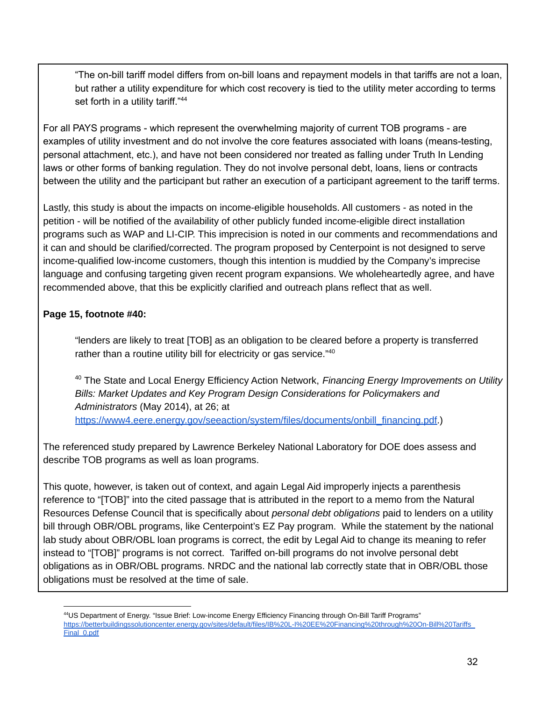"The on-bill tariff model differs from on-bill loans and repayment models in that tariffs are not a loan, but rather a utility expenditure for which cost recovery is tied to the utility meter according to terms set forth in a utility tariff."<sup>44</sup>

For all PAYS programs - which represent the overwhelming majority of current TOB programs - are examples of utility investment and do not involve the core features associated with loans (means-testing, personal attachment, etc.), and have not been considered nor treated as falling under Truth In Lending laws or other forms of banking regulation. They do not involve personal debt, loans, liens or contracts between the utility and the participant but rather an execution of a participant agreement to the tariff terms.

Lastly, this study is about the impacts on income-eligible households. All customers - as noted in the petition - will be notified of the availability of other publicly funded income-eligible direct installation programs such as WAP and LI-CIP. This imprecision is noted in our comments and recommendations and it can and should be clarified/corrected. The program proposed by Centerpoint is not designed to serve income-qualified low-income customers, though this intention is muddied by the Company's imprecise language and confusing targeting given recent program expansions. We wholeheartedly agree, and have recommended above, that this be explicitly clarified and outreach plans reflect that as well.

### **Page 15, footnote #40:**

"lenders are likely to treat [TOB] as an obligation to be cleared before a property is transferred rather than a routine utility bill for electricity or gas service."<sup>40</sup>

<sup>40</sup> The State and Local Energy Efficiency Action Network, *Financing Energy Improvements on Utility Bills: Market Updates and Key Program Design Considerations for Policymakers and Administrators* (May 2014), at 26; at [https://www4.eere.energy.gov/seeaction/system/files/documents/onbill\\_financing.pdf.](https://www4.eere.energy.gov/seeaction/system/files/documents/onbill_financing.pdf))

The referenced study prepared by Lawrence Berkeley National Laboratory for DOE does assess and describe TOB programs as well as loan programs.

This quote, however, is taken out of context, and again Legal Aid improperly injects a parenthesis reference to "[TOB]" into the cited passage that is attributed in the report to a memo from the Natural Resources Defense Council that is specifically about *personal debt obligations* paid to lenders on a utility bill through OBR/OBL programs, like Centerpoint's EZ Pay program. While the statement by the national lab study about OBR/OBL loan programs is correct, the edit by Legal Aid to change its meaning to refer instead to "[TOB]" programs is not correct. Tariffed on-bill programs do not involve personal debt obligations as in OBR/OBL programs. NRDC and the national lab correctly state that in OBR/OBL those obligations must be resolved at the time of sale.

<sup>44</sup>US Department of Energy. "Issue Brief: Low-income Energy Efficiency Financing through On-Bill Tariff Programs" [https://betterbuildingssolutioncenter.energy.gov/sites/default/files/IB%20L-I%20EE%20Financing%20through%20On-Bill%20Tariffs\\_](https://betterbuildingssolutioncenter.energy.gov/sites/default/files/IB%20L-I%20EE%20Financing%20through%20On-Bill%20Tariffs_Final_0.pdf) [Final\\_0.pdf](https://betterbuildingssolutioncenter.energy.gov/sites/default/files/IB%20L-I%20EE%20Financing%20through%20On-Bill%20Tariffs_Final_0.pdf)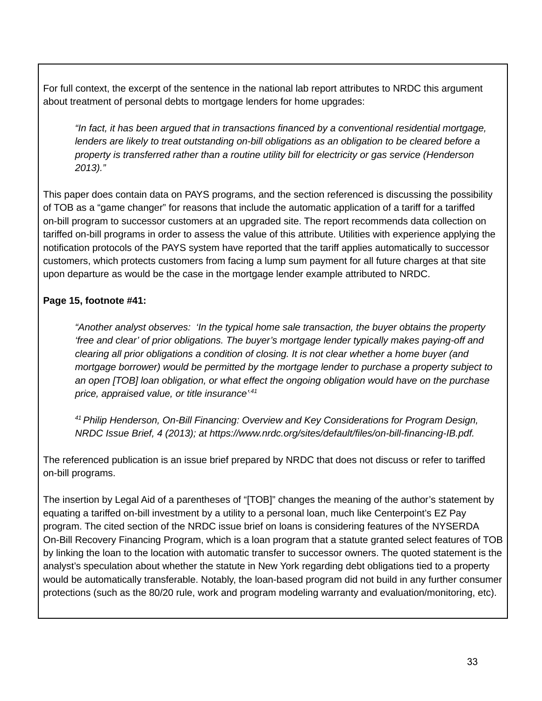For full context, the excerpt of the sentence in the national lab report attributes to NRDC this argument about treatment of personal debts to mortgage lenders for home upgrades:

*"In fact, it has been argued that in transactions financed by a conventional residential mortgage, lenders are likely to treat outstanding on-bill obligations as an obligation to be cleared before a property is transferred rather than a routine utility bill for electricity or gas service (Henderson 2013)."*

This paper does contain data on PAYS programs, and the section referenced is discussing the possibility of TOB as a "game changer" for reasons that include the automatic application of a tariff for a tariffed on-bill program to successor customers at an upgraded site. The report recommends data collection on tariffed on-bill programs in order to assess the value of this attribute. Utilities with experience applying the notification protocols of the PAYS system have reported that the tariff applies automatically to successor customers, which protects customers from facing a lump sum payment for all future charges at that site upon departure as would be the case in the mortgage lender example attributed to NRDC.

### **Page 15, footnote #41:**

*"Another analyst observes: 'In the typical home sale transaction, the buyer obtains the property 'free and clear' of prior obligations. The buyer's mortgage lender typically makes paying-off and clearing all prior obligations a condition of closing. It is not clear whether a home buyer (and mortgage borrower) would be permitted by the mortgage lender to purchase a property subject to an open [TOB] loan obligation, or what effect the ongoing obligation would have on the purchase price, appraised value, or title insurance' .41*

*<sup>41</sup> Philip Henderson, On-Bill Financing: Overview and Key Considerations for Program Design, NRDC Issue Brief, 4 (2013); at https://www.nrdc.org/sites/default/files/on-bill-financing-IB.pdf.*

The referenced publication is an issue brief prepared by NRDC that does not discuss or refer to tariffed on-bill programs.

The insertion by Legal Aid of a parentheses of "[TOB]" changes the meaning of the author's statement by equating a tariffed on-bill investment by a utility to a personal loan, much like Centerpoint's EZ Pay program. The cited section of the NRDC issue brief on loans is considering features of the NYSERDA On-Bill Recovery Financing Program, which is a loan program that a statute granted select features of TOB by linking the loan to the location with automatic transfer to successor owners. The quoted statement is the analyst's speculation about whether the statute in New York regarding debt obligations tied to a property would be automatically transferable. Notably, the loan-based program did not build in any further consumer protections (such as the 80/20 rule, work and program modeling warranty and evaluation/monitoring, etc).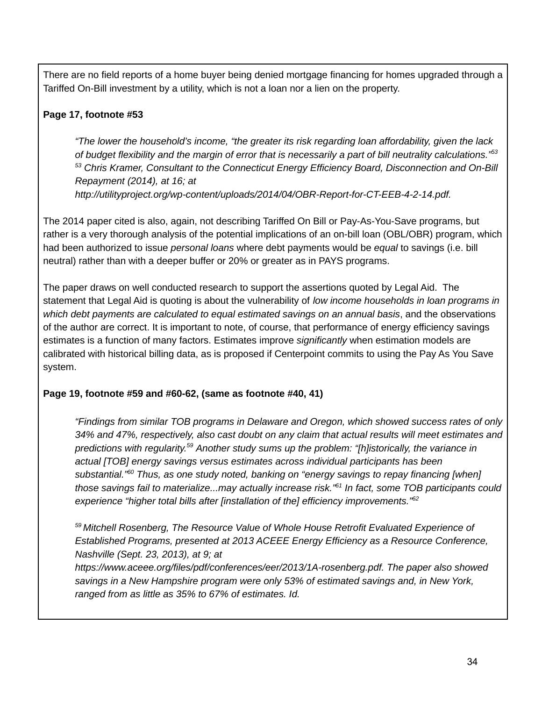There are no field reports of a home buyer being denied mortgage financing for homes upgraded through a Tariffed On-Bill investment by a utility, which is not a loan nor a lien on the property.

# **Page 17, footnote #53**

*"The lower the household's income, "the greater its risk regarding loan affordability, given the lack* of budget flexibility and the margin of error that is necessarily a part of bill neutrality calculations."53 *<sup>53</sup> Chris Kramer, Consultant to the Connecticut Energy Efficiency Board, Disconnection and On‐Bill Repayment (2014), at 16; at http://utilityproject.org/wp-content/uploads/2014/04/OBR-Report-for-CT-EEB-4-2-14.pdf.*

The 2014 paper cited is also, again, not describing Tariffed On Bill or Pay-As-You-Save programs, but rather is a very thorough analysis of the potential implications of an on-bill loan (OBL/OBR) program, which had been authorized to issue *personal loans* where debt payments would be *equal* to savings (i.e. bill neutral) rather than with a deeper buffer or 20% or greater as in PAYS programs.

The paper draws on well conducted research to support the assertions quoted by Legal Aid. The statement that Legal Aid is quoting is about the vulnerability of *low income households in loan programs in which debt payments are calculated to equal estimated savings on an annual basis*, and the observations of the author are correct. It is important to note, of course, that performance of energy efficiency savings estimates is a function of many factors. Estimates improve *significantly* when estimation models are calibrated with historical billing data, as is proposed if Centerpoint commits to using the Pay As You Save system.

# **Page 19, footnote #59 and #60-62, (same as footnote #40, 41)**

*"Findings from similar TOB programs in Delaware and Oregon, which showed success rates of only 34% and 47%, respectively, also cast doubt on any claim that actual results will meet estimates and predictions with regularity. <sup>59</sup> Another study sums up the problem: "[h]istorically, the variance in actual [TOB] energy savings versus estimates across individual participants has been substantial." <sup>60</sup> Thus, as one study noted, banking on "energy savings to repay financing [when] those savings fail to materialize...may actually increase risk." 61 In fact, some TOB participants could experience "higher total bills after [installation of the] efficiency improvements." 62*

*<sup>59</sup> Mitchell Rosenberg, The Resource Value of Whole House Retrofit Evaluated Experience of Established Programs, presented at 2013 ACEEE Energy Efficiency as a Resource Conference, Nashville (Sept. 23, 2013), at 9; at*

*https://www.aceee.org/files/pdf/conferences/eer/2013/1A-rosenberg.pdf. The paper also showed savings in a New Hampshire program were only 53% of estimated savings and, in New York, ranged from as little as 35% to 67% of estimates. Id.*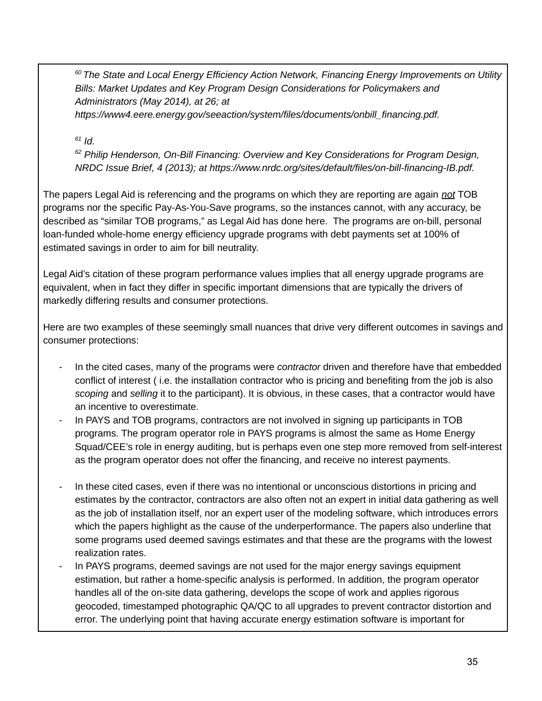*<sup>60</sup> The State and Local Energy Efficiency Action Network, Financing Energy Improvements on Utility Bills: Market Updates and Key Program Design Considerations for Policymakers and Administrators (May 2014), at 26; at*

*https://www4.eere.energy.gov/seeaction/system/files/documents/onbill\_financing.pdf.*

*61 Id.*

*<sup>62</sup> Philip Henderson, On-Bill Financing: Overview and Key Considerations for Program Design, NRDC Issue Brief, 4 (2013); at https://www.nrdc.org/sites/default/files/on-bill-financing-IB.pdf.*

The papers Legal Aid is referencing and the programs on which they are reporting are again *not* TOB programs nor the specific Pay-As-You-Save programs, so the instances cannot, with any accuracy, be described as "similar TOB programs," as Legal Aid has done here. The programs are on-bill, personal loan-funded whole-home energy efficiency upgrade programs with debt payments set at 100% of estimated savings in order to aim for bill neutrality.

Legal Aid's citation of these program performance values implies that all energy upgrade programs are equivalent, when in fact they differ in specific important dimensions that are typically the drivers of markedly differing results and consumer protections.

Here are two examples of these seemingly small nuances that drive very different outcomes in savings and consumer protections:

- In the cited cases, many of the programs were *contractor* driven and therefore have that embedded conflict of interest ( i.e. the installation contractor who is pricing and benefiting from the job is also *scoping* and *selling* it to the participant). It is obvious, in these cases, that a contractor would have an incentive to overestimate.
- In PAYS and TOB programs, contractors are not involved in signing up participants in TOB programs. The program operator role in PAYS programs is almost the same as Home Energy Squad/CEE's role in energy auditing, but is perhaps even one step more removed from self-interest as the program operator does not offer the financing, and receive no interest payments.
- In these cited cases, even if there was no intentional or unconscious distortions in pricing and estimates by the contractor, contractors are also often not an expert in initial data gathering as well as the job of installation itself, nor an expert user of the modeling software, which introduces errors which the papers highlight as the cause of the underperformance. The papers also underline that some programs used deemed savings estimates and that these are the programs with the lowest realization rates.
- In PAYS programs, deemed savings are not used for the major energy savings equipment estimation, but rather a home-specific analysis is performed. In addition, the program operator handles all of the on-site data gathering, develops the scope of work and applies rigorous geocoded, timestamped photographic QA/QC to all upgrades to prevent contractor distortion and error. The underlying point that having accurate energy estimation software is important for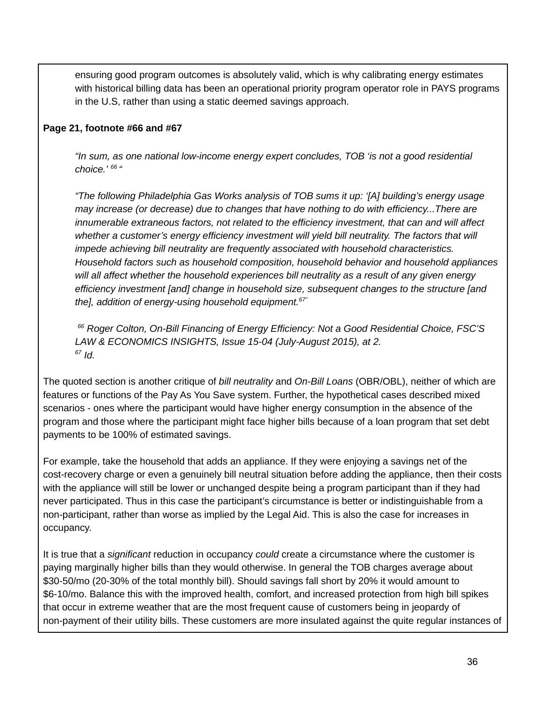ensuring good program outcomes is absolutely valid, which is why calibrating energy estimates with historical billing data has been an operational priority program operator role in PAYS programs in the U.S, rather than using a static deemed savings approach.

#### **Page 21, footnote #66 and #67**

*"In sum, as one national low-income energy expert concludes, TOB 'is not a good residential choice.' 66 "*

*"The following Philadelphia Gas Works analysis of TOB sums it up: '[A] building's energy usage may increase (or decrease) due to changes that have nothing to do with efficiency...There are innumerable extraneous factors, not related to the efficiency investment, that can and will affect whether a customer's energy efficiency investment will yield bill neutrality. The factors that will impede achieving bill neutrality are frequently associated with household characteristics. Household factors such as household composition, household behavior and household appliances will all affect whether the household experiences bill neutrality as a result of any given energy efficiency investment [and] change in household size, subsequent changes to the structure [and the], addition of energy-using household equipment. 67"*

*<sup>66</sup> Roger Colton, On-Bill Financing of Energy Efficiency: Not a Good Residential Choice, FSC'S LAW & ECONOMICS INSIGHTS, Issue 15-04 (July-August 2015), at 2. 67 Id.*

The quoted section is another critique of *bill neutrality* and *On-Bill Loans* (OBR/OBL), neither of which are features or functions of the Pay As You Save system. Further, the hypothetical cases described mixed scenarios - ones where the participant would have higher energy consumption in the absence of the program and those where the participant might face higher bills because of a loan program that set debt payments to be 100% of estimated savings.

For example, take the household that adds an appliance. If they were enjoying a savings net of the cost-recovery charge or even a genuinely bill neutral situation before adding the appliance, then their costs with the appliance will still be lower or unchanged despite being a program participant than if they had never participated. Thus in this case the participant's circumstance is better or indistinguishable from a non-participant, rather than worse as implied by the Legal Aid. This is also the case for increases in occupancy.

It is true that a *significant* reduction in occupancy *could* create a circumstance where the customer is paying marginally higher bills than they would otherwise. In general the TOB charges average about \$30-50/mo (20-30% of the total monthly bill). Should savings fall short by 20% it would amount to \$6-10/mo. Balance this with the improved health, comfort, and increased protection from high bill spikes that occur in extreme weather that are the most frequent cause of customers being in jeopardy of non-payment of their utility bills. These customers are more insulated against the quite regular instances of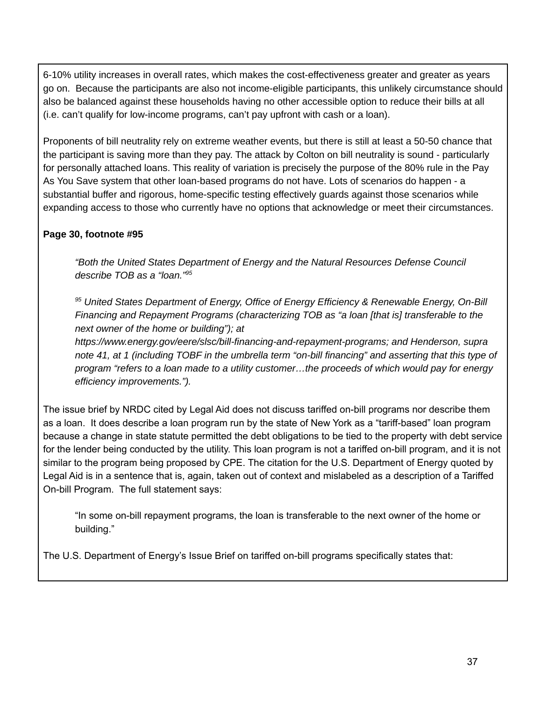6-10% utility increases in overall rates, which makes the cost-effectiveness greater and greater as years go on. Because the participants are also not income-eligible participants, this unlikely circumstance should also be balanced against these households having no other accessible option to reduce their bills at all (i.e. can't qualify for low-income programs, can't pay upfront with cash or a loan).

Proponents of bill neutrality rely on extreme weather events, but there is still at least a 50-50 chance that the participant is saving more than they pay. The attack by Colton on bill neutrality is sound - particularly for personally attached loans. This reality of variation is precisely the purpose of the 80% rule in the Pay As You Save system that other loan-based programs do not have. Lots of scenarios do happen - a substantial buffer and rigorous, home-specific testing effectively guards against those scenarios while expanding access to those who currently have no options that acknowledge or meet their circumstances.

### **Page 30, footnote #95**

*"Both the United States Department of Energy and the Natural Resources Defense Council describe TOB as a "loan." 95*

*<sup>95</sup> United States Department of Energy, Office of Energy Efficiency & Renewable Energy, On-Bill Financing and Repayment Programs (characterizing TOB as "a loan [that is] transferable to the next owner of the home or building"); at*

*https://www.energy.gov/eere/slsc/bill-financing-and-repayment-programs; and Henderson, supra* note 41, at 1 (including TOBF in the umbrella term "on-bill financing" and asserting that this type of *program "refers to a loan made to a utility customer…the proceeds of which would pay for energy efficiency improvements.").*

The issue brief by NRDC cited by Legal Aid does not discuss tariffed on-bill programs nor describe them as a loan. It does describe a loan program run by the state of New York as a "tariff-based" loan program because a change in state statute permitted the debt obligations to be tied to the property with debt service for the lender being conducted by the utility. This loan program is not a tariffed on-bill program, and it is not similar to the program being proposed by CPE. The citation for the U.S. Department of Energy quoted by Legal Aid is in a sentence that is, again, taken out of context and mislabeled as a description of a Tariffed On-bill Program. The full statement says:

"In some on-bill repayment programs, the loan is transferable to the next owner of the home or building."

The U.S. Department of Energy's Issue Brief on tariffed on-bill programs specifically states that: